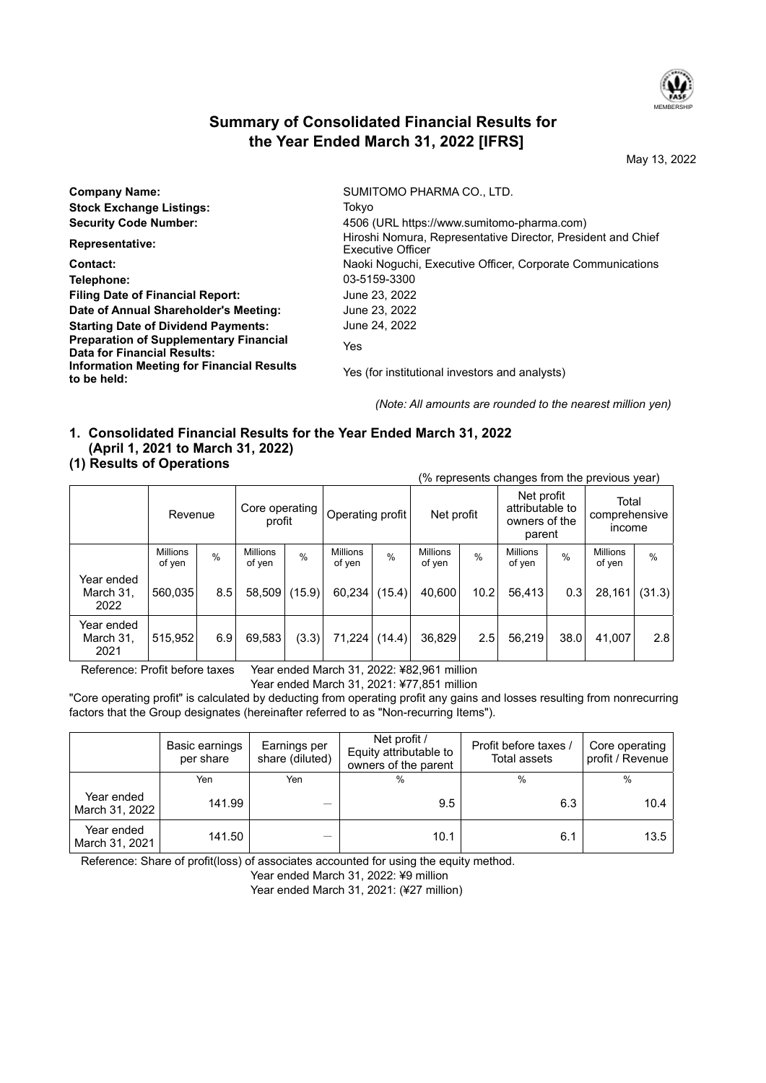

# **Summary of Consolidated Financial Results for the Year Ended March 31, 2022 [IFRS]**

May 13, 2022

| <b>Company Name:</b>                                                         | SUMITOMO PHARMA CO., LTD.                                                                |
|------------------------------------------------------------------------------|------------------------------------------------------------------------------------------|
| <b>Stock Exchange Listings:</b>                                              | Tokvo                                                                                    |
| <b>Security Code Number:</b>                                                 | 4506 (URL https://www.sumitomo-pharma.com)                                               |
| <b>Representative:</b>                                                       | Hiroshi Nomura, Representative Director, President and Chief<br><b>Executive Officer</b> |
| Contact:                                                                     | Naoki Noquchi, Executive Officer, Corporate Communications                               |
| Telephone:                                                                   | 03-5159-3300                                                                             |
| <b>Filing Date of Financial Report:</b>                                      | June 23, 2022                                                                            |
| Date of Annual Shareholder's Meeting:                                        | June 23, 2022                                                                            |
| <b>Starting Date of Dividend Payments:</b>                                   | June 24, 2022                                                                            |
| <b>Preparation of Supplementary Financial</b><br>Data for Financial Results: | Yes                                                                                      |
| Information Meeting for Financial Results<br>to be held:                     | Yes (for institutional investors and analysts)                                           |

*(Note: All amounts are rounded to the nearest million yen)*

# **1. Consolidated Financial Results for the Year Ended March 31, 2022 (April 1, 2021 to March 31, 2022)**

## **(1) Results of Operations**

|                                 |                           |      |                           |               |                           |               |                           |      |                                                          |               | (% represents changes from the previous year) |               |
|---------------------------------|---------------------------|------|---------------------------|---------------|---------------------------|---------------|---------------------------|------|----------------------------------------------------------|---------------|-----------------------------------------------|---------------|
|                                 | Revenue                   |      | Core operating<br>profit  |               | Operating profit          |               | Net profit                |      | Net profit<br>attributable to<br>owners of the<br>parent |               | Total<br>comprehensive<br><b>Income</b>       |               |
|                                 | <b>Millions</b><br>of yen | $\%$ | <b>Millions</b><br>of yen | $\frac{0}{0}$ | <b>Millions</b><br>of yen | $\frac{0}{0}$ | <b>Millions</b><br>of yen | $\%$ | <b>Millions</b><br>of yen                                | $\frac{0}{0}$ | <b>Millions</b><br>of yen                     | $\frac{0}{0}$ |
| Year ended<br>March 31,<br>2022 | 560,035                   | 8.5  | 58,509                    | (15.9)        | 60,234                    | (15.4)        | 40,600                    | 10.2 | 56,413                                                   | 0.3           | 28,161                                        | (31.3)        |
| Year ended<br>March 31,<br>2021 | 515,952                   | 6.9  | 69,583                    | (3.3)         | 71,224                    | (14.4)        | 36,829                    | 2.5  | 56,219                                                   | 38.0          | 41,007                                        | 2.8           |

Reference: Profit before taxes Year ended March 31, 2022: ¥82,961 million

Year ended March 31, 2021: ¥77,851 million

"Core operating profit" is calculated by deducting from operating profit any gains and losses resulting from nonrecurring factors that the Group designates (hereinafter referred to as "Non-recurring Items").

|                              | Basic earnings<br>per share | Earnings per<br>share (diluted) | Net profit /<br>Equity attributable to<br>owners of the parent | Profit before taxes /<br><b>Total assets</b> | Core operating<br>profit / Revenue |  |
|------------------------------|-----------------------------|---------------------------------|----------------------------------------------------------------|----------------------------------------------|------------------------------------|--|
|                              | Yen                         | Yen                             | $\frac{0}{0}$                                                  | %                                            | $\frac{0}{0}$                      |  |
| Year ended<br>March 31, 2022 | 141.99                      |                                 | 9.5                                                            | 6.3                                          | 10.4                               |  |
| Year ended<br>March 31, 2021 | 141.50                      |                                 | 10.1                                                           | 6.1                                          | 13.5                               |  |

Reference: Share of profit(loss) of associates accounted for using the equity method.

Year ended March 31, 2022: ¥9 million

Year ended March 31, 2021: (¥27 million)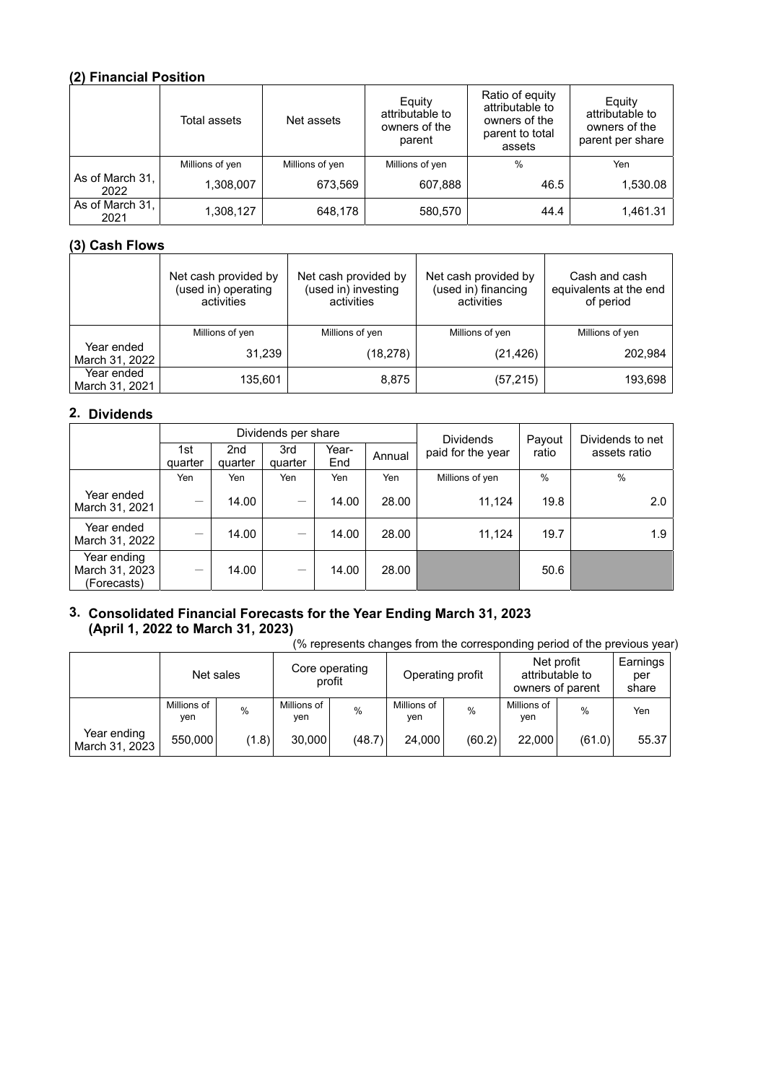# **(2) Financial Position**

|                         | Total assets    | Net assets      | Equity<br>attributable to<br>owners of the<br>parent | Ratio of equity<br>attributable to<br>owners of the<br>parent to total<br>assets | Equity<br>attributable to<br>owners of the<br>parent per share |  |
|-------------------------|-----------------|-----------------|------------------------------------------------------|----------------------------------------------------------------------------------|----------------------------------------------------------------|--|
|                         | Millions of yen | Millions of yen | Millions of yen                                      | $\%$                                                                             | Yen                                                            |  |
| As of March 31,<br>2022 | 1,308,007       | 673,569         | 607,888                                              | 46.5                                                                             | 1,530.08                                                       |  |
| As of March 31,<br>2021 | 1,308,127       | 648,178         | 580,570                                              | 44.4                                                                             | 1,461.31                                                       |  |

# **(3) Cash Flows**

|                              | Net cash provided by<br>(used in) operating<br>activities | Net cash provided by<br>(used in) investing<br>activities | Net cash provided by<br>(used in) financing<br>activities | Cash and cash<br>equivalents at the end<br>of period |
|------------------------------|-----------------------------------------------------------|-----------------------------------------------------------|-----------------------------------------------------------|------------------------------------------------------|
|                              | Millions of yen                                           | Millions of yen                                           | Millions of yen                                           | Millions of yen                                      |
| Year ended<br>March 31, 2022 | 31,239                                                    | (18, 278)                                                 | (21, 426)                                                 | 202.984                                              |
| Year ended<br>March 31, 2021 | 135,601                                                   | 8,875                                                     | (57, 215)                                                 | 193,698                                              |

# **2. Dividends**

|                                              | Dividends per share |                |                 |              |        |                                       | Payout        | Dividends to net |  |
|----------------------------------------------|---------------------|----------------|-----------------|--------------|--------|---------------------------------------|---------------|------------------|--|
|                                              | 1st<br>quarter      | 2nd<br>quarter | 3rd<br>quarter  | Year-<br>End | Annual | <b>Dividends</b><br>paid for the year | ratio         | assets ratio     |  |
|                                              | Yen                 | Yen            | Yen             | Yen          | Yen    | Millions of yen                       | $\frac{0}{0}$ | $\frac{0}{0}$    |  |
| Year ended<br>March 31, 2021                 | —                   | 14.00          | $\qquad \qquad$ | 14.00        | 28.00  | 11,124                                | 19.8          | 2.0              |  |
| Year ended<br>March 31, 2022                 | —                   | 14.00          |                 | 14.00        | 28.00  | 11.124                                | 19.7          | 1.9              |  |
| Year ending<br>March 31, 2023<br>(Forecasts) | —                   | 14.00          |                 | 14.00        | 28.00  |                                       | 50.6          |                  |  |

# **3. Consolidated Financial Forecasts for the Year Ending March 31, 2023 (April 1, 2022 to March 31, 2023)**

(% represents changes from the corresponding period of the previous year)

|                               | Net sales          |       | Core operating<br>profit |        | Operating profit   |               | owners of parent   | Net profit<br>attributable to | Earnings<br>per<br>share |
|-------------------------------|--------------------|-------|--------------------------|--------|--------------------|---------------|--------------------|-------------------------------|--------------------------|
|                               | Millions of<br>ven | %     | Millions of<br>ven       | %      | Millions of<br>ven | $\frac{0}{0}$ | Millions of<br>yen | %                             | Yen                      |
| Year ending<br>March 31, 2023 | 550,000            | (1.8) | 30,000                   | (48.7) | 24.000             | (60.2)        | 22,000             | (61.0)                        | 55.37                    |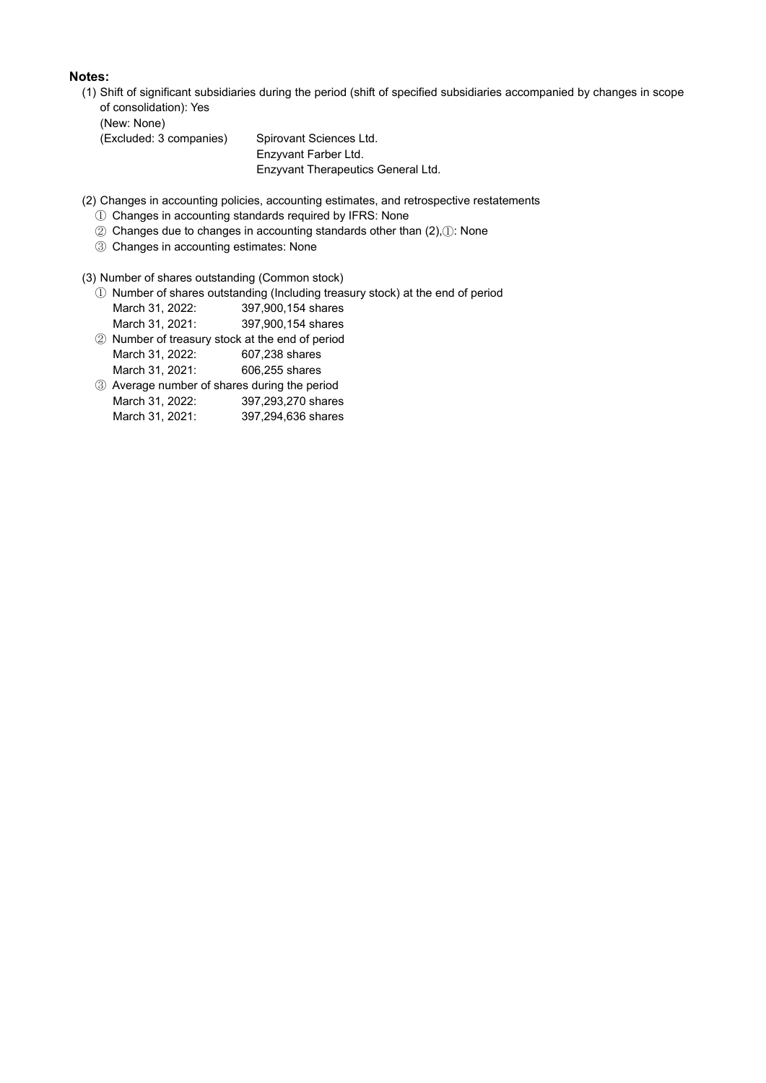## **Notes:**

(1) Shift of significant subsidiaries during the period (shift of specified subsidiaries accompanied by changes in scope of consolidation): Yes

(New: None)

(Excluded: 3 companies) Spirovant Sciences Ltd.

 Enzyvant Farber Ltd. Enzyvant Therapeutics General Ltd.

(2) Changes in accounting policies, accounting estimates, and retrospective restatements

- ① Changes in accounting standards required by IFRS: None
- ② Changes due to changes in accounting standards other than (2),①: None
- ③ Changes in accounting estimates: None

(3) Number of shares outstanding (Common stock)

- ① Number of shares outstanding (Including treasury stock) at the end of period
	- March 31, 2022: 397,900,154 shares
	- March 31, 2021: 397,900,154 shares
- ② Number of treasury stock at the end of period March 31, 2022: 607,238 shares
- March 31, 2021: 606,255 shares
- ③ Average number of shares during the period March 31, 2022: 397,293,270 shares
	- March 31, 2021: 397,294,636 shares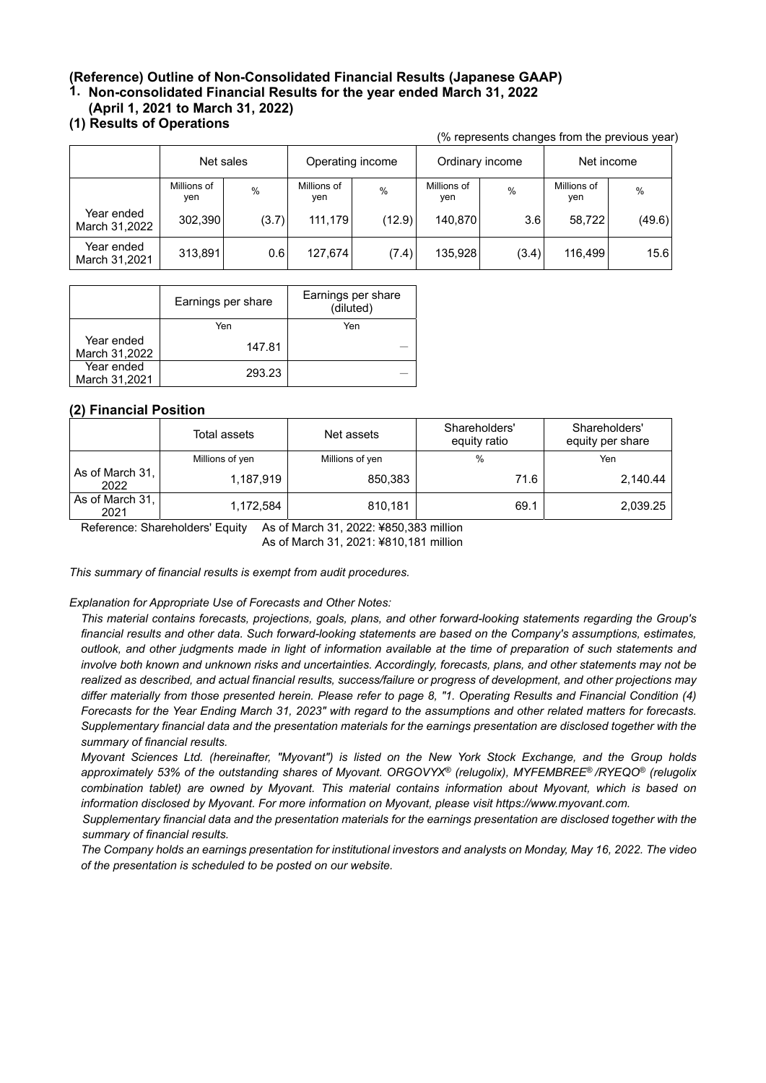# **(Reference) Outline of Non-Consolidated Financial Results (Japanese GAAP)**

**1. Non-consolidated Financial Results for the year ended March 31, 2022**

## **(April 1, 2021 to March 31, 2022)**

# **(1) Results of Operations**

|                             |                    |               |                    |               |                    |       |                    | (% represents changes from the previous year) |
|-----------------------------|--------------------|---------------|--------------------|---------------|--------------------|-------|--------------------|-----------------------------------------------|
|                             | Net sales          |               | Operating income   |               | Ordinary income    |       | Net income         |                                               |
|                             | Millions of<br>ven | $\frac{0}{0}$ | Millions of<br>yen | $\frac{0}{0}$ | Millions of<br>yen | %     | Millions of<br>yen | %                                             |
| Year ended<br>March 31,2022 | 302,390            | (3.7)         | 111,179            | (12.9)        | 140,870            | 3.6   | 58,722             | (49.6)                                        |
| Year ended<br>March 31,2021 | 313,891            | 0.6           | 127,674            | (7.4)         | 135,928            | (3.4) | 116,499            | 15.6                                          |

|                             | Earnings per share | Earnings per share<br>(diluted) |
|-----------------------------|--------------------|---------------------------------|
|                             | Yen                | Yen                             |
| Year ended<br>March 31,2022 | 147.81             |                                 |
| Year ended<br>March 31,2021 | 293.23             |                                 |

## **(2) Financial Position**

|                         | Total assets    | Net assets      | Shareholders'<br>equity ratio | Shareholders'<br>equity per share |
|-------------------------|-----------------|-----------------|-------------------------------|-----------------------------------|
|                         | Millions of yen | Millions of yen | $\frac{0}{0}$                 | Yen                               |
| As of March 31,<br>2022 | 1,187,919       | 850,383         | 71.6                          | 2,140.44                          |
| As of March 31,<br>2021 | 1,172,584       | 810,181         | 69.1                          | 2,039.25                          |

Reference: Shareholders' Equity As of March 31, 2022: ¥850,383 million

As of March 31, 2021: ¥810,181 million

*This summary of financial results is exempt from audit procedures.*

#### *Explanation for Appropriate Use of Forecasts and Other Notes:*

*This material contains forecasts, projections, goals, plans, and other forward-looking statements regarding the Group's financial results and other data. Such forward-looking statements are based on the Company's assumptions, estimates, outlook, and other judgments made in light of information available at the time of preparation of such statements and involve both known and unknown risks and uncertainties. Accordingly, forecasts, plans, and other statements may not be realized as described, and actual financial results, success/failure or progress of development, and other projections may differ materially from those presented herein. Please refer to page 8, "1. Operating Results and Financial Condition (4) Forecasts for the Year Ending March 31, 2023" with regard to the assumptions and other related matters for forecasts. Supplementary financial data and the presentation materials for the earnings presentation are disclosed together with the summary of financial results.*

*Myovant Sciences Ltd. (hereinafter, "Myovant") is listed on the New York Stock Exchange, and the Group holds approximately 53% of the outstanding shares of Myovant. ORGOVYX® (relugolix), MYFEMBREE® /RYEQO® (relugolix combination tablet) are owned by Myovant. This material contains information about Myovant, which is based on information disclosed by Myovant. For more information on Myovant, please visit https://www.myovant.com.*

*Supplementary financial data and the presentation materials for the earnings presentation are disclosed together with the summary of financial results.*

*The Company holds an earnings presentation for institutional investors and analysts on Monday, May 16, 2022. The video of the presentation is scheduled to be posted on our website.*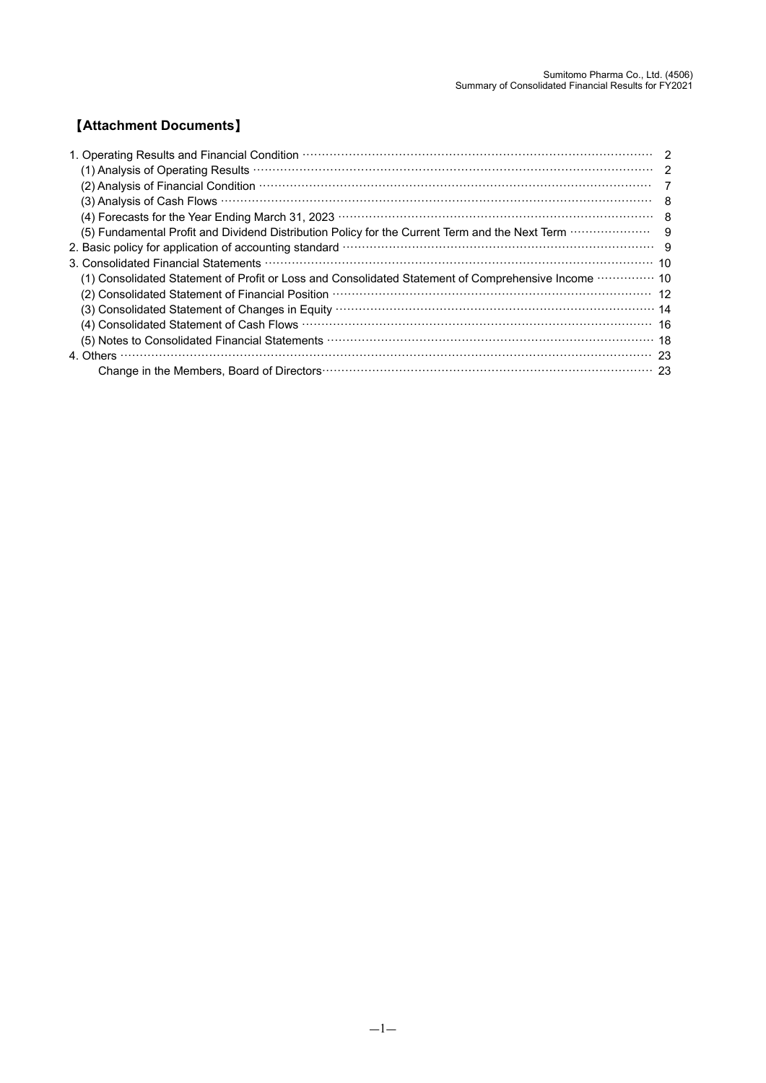# 【**Attachment Documents**】

| 1. Operating Results and Financial Condition (1000) (100) (100) (100) (100) (100) (100) (100) (100) (100) (100) (100) (100) (100) (100) (100) (100) (100) (100) (100) (100) (100) (100) (100) (100) (100) (100) (100) (100) (1 |     |
|--------------------------------------------------------------------------------------------------------------------------------------------------------------------------------------------------------------------------------|-----|
|                                                                                                                                                                                                                                |     |
| (2) Analysis of Financial Condition (1000) Content of the Condition of Condition (2) Analysis of Financial Condition                                                                                                           |     |
|                                                                                                                                                                                                                                |     |
| (4) Forecasts for the Year Ending March 31, 2023 <b>With Construction Construction</b> and the Vear of Alexander and B                                                                                                         |     |
| (5) Fundamental Profit and Dividend Distribution Policy for the Current Term and the Next Term <b>CONCOCO Profit and</b>                                                                                                       | - 9 |
|                                                                                                                                                                                                                                |     |
|                                                                                                                                                                                                                                |     |
| (1) Consolidated Statement of Profit or Loss and Consolidated Statement of Comprehensive Income <b>William</b> 10                                                                                                              |     |
|                                                                                                                                                                                                                                |     |
|                                                                                                                                                                                                                                |     |
| (4) Consolidated Statement of Cash Flows manufactured controller and the formulation of the 16                                                                                                                                 |     |
|                                                                                                                                                                                                                                |     |
| 4. Others                                                                                                                                                                                                                      |     |
|                                                                                                                                                                                                                                | -23 |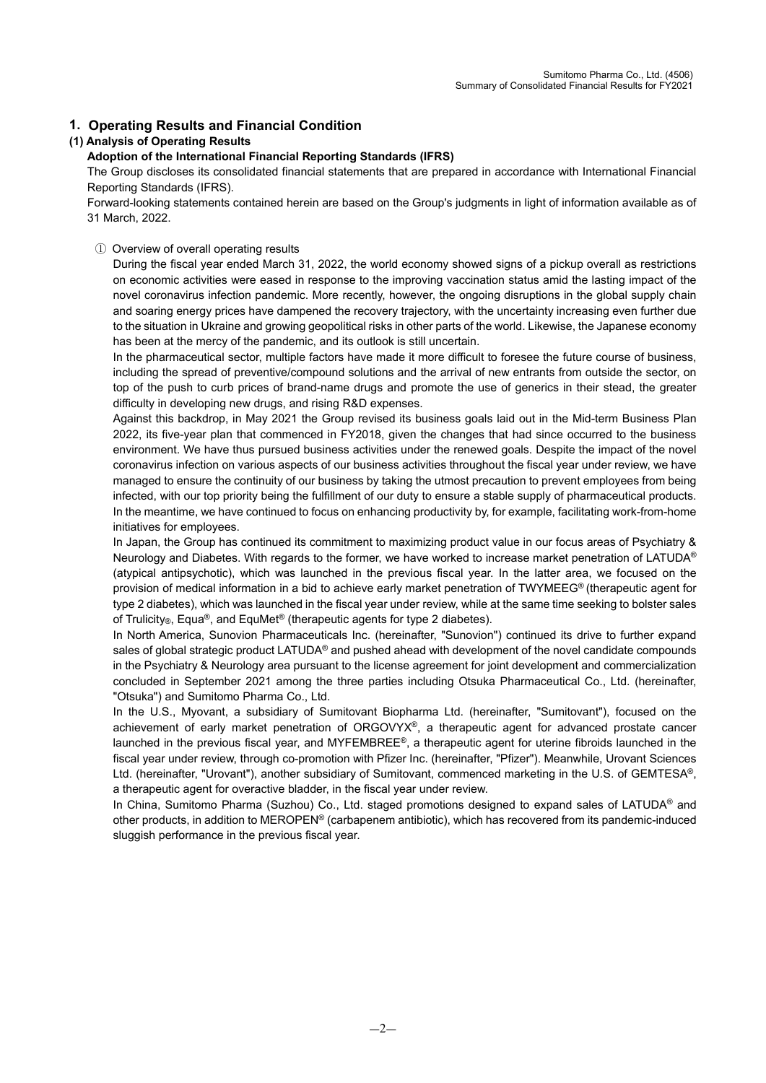## **1. Operating Results and Financial Condition**

### **(1) Analysis of Operating Results**

#### **Adoption of the International Financial Reporting Standards (IFRS)**

The Group discloses its consolidated financial statements that are prepared in accordance with International Financial Reporting Standards (IFRS).

Forward-looking statements contained herein are based on the Group's judgments in light of information available as of 31 March, 2022.

#### ① Overview of overall operating results

During the fiscal year ended March 31, 2022, the world economy showed signs of a pickup overall as restrictions on economic activities were eased in response to the improving vaccination status amid the lasting impact of the novel coronavirus infection pandemic. More recently, however, the ongoing disruptions in the global supply chain and soaring energy prices have dampened the recovery trajectory, with the uncertainty increasing even further due to the situation in Ukraine and growing geopolitical risks in other parts of the world. Likewise, the Japanese economy has been at the mercy of the pandemic, and its outlook is still uncertain.

In the pharmaceutical sector, multiple factors have made it more difficult to foresee the future course of business, including the spread of preventive/compound solutions and the arrival of new entrants from outside the sector, on top of the push to curb prices of brand-name drugs and promote the use of generics in their stead, the greater difficulty in developing new drugs, and rising R&D expenses.

Against this backdrop, in May 2021 the Group revised its business goals laid out in the Mid-term Business Plan 2022, its five-year plan that commenced in FY2018, given the changes that had since occurred to the business environment. We have thus pursued business activities under the renewed goals. Despite the impact of the novel coronavirus infection on various aspects of our business activities throughout the fiscal year under review, we have managed to ensure the continuity of our business by taking the utmost precaution to prevent employees from being infected, with our top priority being the fulfillment of our duty to ensure a stable supply of pharmaceutical products. In the meantime, we have continued to focus on enhancing productivity by, for example, facilitating work-from-home initiatives for employees.

In Japan, the Group has continued its commitment to maximizing product value in our focus areas of Psychiatry & Neurology and Diabetes. With regards to the former, we have worked to increase market penetration of LATUDA<sup>®</sup> (atypical antipsychotic), which was launched in the previous fiscal year. In the latter area, we focused on the provision of medical information in a bid to achieve early market penetration of TWYMEEG® (therapeutic agent for type 2 diabetes), which was launched in the fiscal year under review, while at the same time seeking to bolster sales of Trulicity<sub>®</sub>, Equa®, and EquMet® (therapeutic agents for type 2 diabetes).

In North America, Sunovion Pharmaceuticals Inc. (hereinafter, "Sunovion") continued its drive to further expand sales of global strategic product LATUDA<sup>®</sup> and pushed ahead with development of the novel candidate compounds in the Psychiatry & Neurology area pursuant to the license agreement for joint development and commercialization concluded in September 2021 among the three parties including Otsuka Pharmaceutical Co., Ltd. (hereinafter, "Otsuka") and Sumitomo Pharma Co., Ltd.

In the U.S., Myovant, a subsidiary of Sumitovant Biopharma Ltd. (hereinafter, "Sumitovant"), focused on the achievement of early market penetration of ORGOVYX®, a therapeutic agent for advanced prostate cancer launched in the previous fiscal year, and MYFEMBREE®, a therapeutic agent for uterine fibroids launched in the fiscal year under review, through co-promotion with Pfizer Inc. (hereinafter, "Pfizer"). Meanwhile, Urovant Sciences Ltd. (hereinafter, "Urovant"), another subsidiary of Sumitovant, commenced marketing in the U.S. of GEMTESA®, a therapeutic agent for overactive bladder, in the fiscal year under review.

In China, Sumitomo Pharma (Suzhou) Co., Ltd. staged promotions designed to expand sales of LATUDA<sup>®</sup> and other products, in addition to MEROPEN® (carbapenem antibiotic), which has recovered from its pandemic-induced sluggish performance in the previous fiscal year.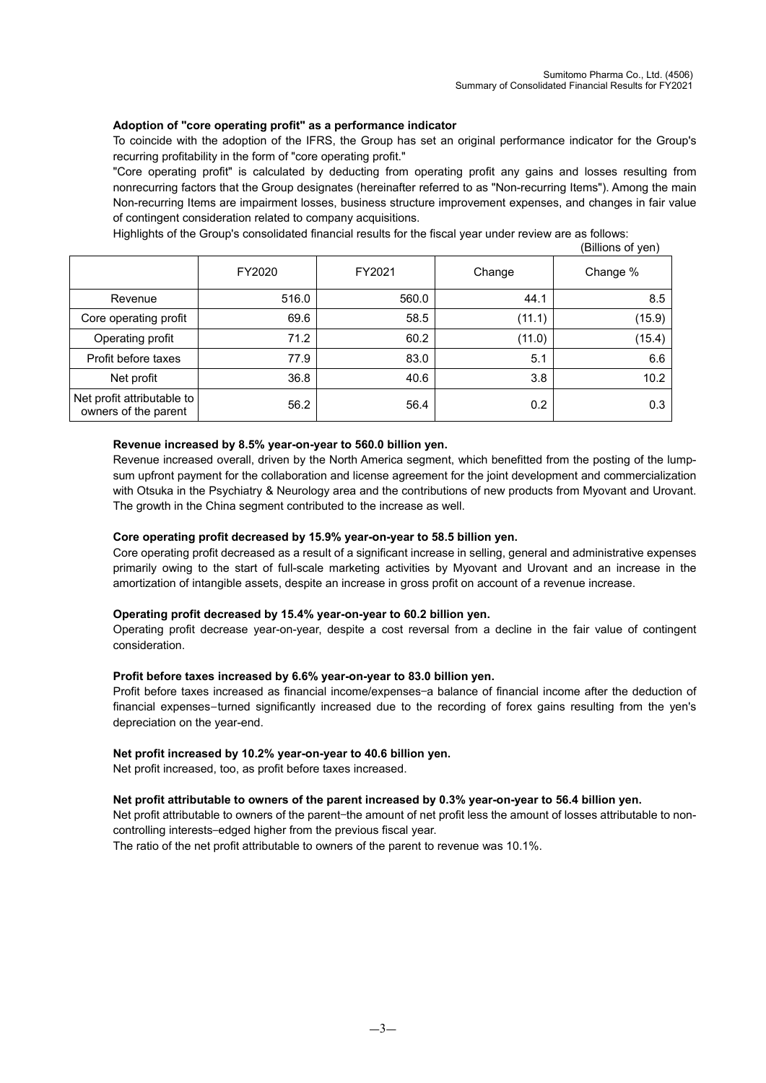### **Adoption of "core operating profit" as a performance indicator**

To coincide with the adoption of the IFRS, the Group has set an original performance indicator for the Group's recurring profitability in the form of "core operating profit."

"Core operating profit" is calculated by deducting from operating profit any gains and losses resulting from nonrecurring factors that the Group designates (hereinafter referred to as "Non-recurring Items"). Among the main Non-recurring Items are impairment losses, business structure improvement expenses, and changes in fair value of contingent consideration related to company acquisitions.

Highlights of the Group's consolidated financial results for the fiscal year under review are as follows:

|                                                    |        |        |        | (Billions of yen) |
|----------------------------------------------------|--------|--------|--------|-------------------|
|                                                    | FY2020 | FY2021 | Change | Change %          |
| Revenue                                            | 516.0  | 560.0  | 44.1   | 8.5               |
| Core operating profit                              | 69.6   | 58.5   | (11.1) | (15.9)            |
| Operating profit                                   | 71.2   | 60.2   | (11.0) | (15.4)            |
| Profit before taxes                                | 77.9   | 83.0   | 5.1    | 6.6               |
| Net profit                                         | 36.8   | 40.6   | 3.8    | 10.2              |
| Net profit attributable to<br>owners of the parent | 56.2   | 56.4   | 0.2    | 0.3               |

#### **Revenue increased by 8.5% year-on-year to 560.0 billion yen.**

Revenue increased overall, driven by the North America segment, which benefitted from the posting of the lumpsum upfront payment for the collaboration and license agreement for the joint development and commercialization with Otsuka in the Psychiatry & Neurology area and the contributions of new products from Myovant and Urovant. The growth in the China segment contributed to the increase as well.

#### **Core operating profit decreased by 15.9% year-on-year to 58.5 billion yen.**

Core operating profit decreased as a result of a significant increase in selling, general and administrative expenses primarily owing to the start of full-scale marketing activities by Myovant and Urovant and an increase in the amortization of intangible assets, despite an increase in gross profit on account of a revenue increase.

#### **Operating profit decreased by 15.4% year-on-year to 60.2 billion yen.**

Operating profit decrease year-on-year, despite a cost reversal from a decline in the fair value of contingent consideration.

#### **Profit before taxes increased by 6.6% year-on-year to 83.0 billion yen.**

Profit before taxes increased as financial income/expenses-a balance of financial income after the deduction of financial expenses—turned significantly increased due to the recording of forex gains resulting from the yen's depreciation on the year-end.

#### **Net profit increased by 10.2% year-on-year to 40.6 billion yen.**

Net profit increased, too, as profit before taxes increased.

#### **Net profit attributable to owners of the parent increased by 0.3% year-on-year to 56.4 billion yen.**

Net profit attributable to owners of the parent-the amount of net profit less the amount of losses attributable to noncontrolling interests—edged higher from the previous fiscal year.

The ratio of the net profit attributable to owners of the parent to revenue was 10.1%.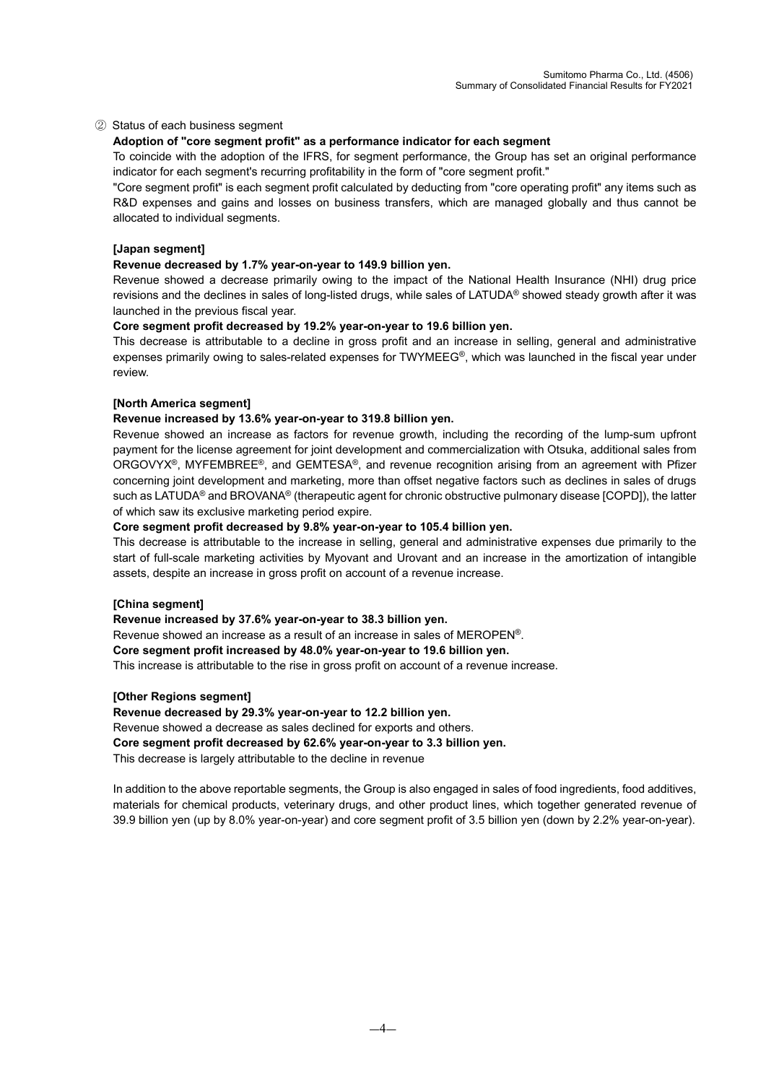#### ② Status of each business segment

## **Adoption of "core segment profit" as a performance indicator for each segment**

To coincide with the adoption of the IFRS, for segment performance, the Group has set an original performance indicator for each segment's recurring profitability in the form of "core segment profit."

"Core segment profit" is each segment profit calculated by deducting from "core operating profit" any items such as R&D expenses and gains and losses on business transfers, which are managed globally and thus cannot be allocated to individual segments.

#### **[Japan segment]**

#### **Revenue decreased by 1.7% year-on-year to 149.9 billion yen.**

Revenue showed a decrease primarily owing to the impact of the National Health Insurance (NHI) drug price revisions and the declines in sales of long-listed drugs, while sales of LATUDA® showed steady growth after it was launched in the previous fiscal year.

#### **Core segment profit decreased by 19.2% year-on-year to 19.6 billion yen.**

This decrease is attributable to a decline in gross profit and an increase in selling, general and administrative expenses primarily owing to sales-related expenses for TWYMEEG®, which was launched in the fiscal year under review.

#### **[North America segment]**

#### **Revenue increased by 13.6% year-on-year to 319.8 billion yen.**

Revenue showed an increase as factors for revenue growth, including the recording of the lump-sum upfront payment for the license agreement for joint development and commercialization with Otsuka, additional sales from ORGOVYX®, MYFEMBREE®, and GEMTESA®, and revenue recognition arising from an agreement with Pfizer concerning joint development and marketing, more than offset negative factors such as declines in sales of drugs such as LATUDA® and BROVANA® (therapeutic agent for chronic obstructive pulmonary disease [COPD]), the latter of which saw its exclusive marketing period expire.

#### **Core segment profit decreased by 9.8% year-on-year to 105.4 billion yen.**

This decrease is attributable to the increase in selling, general and administrative expenses due primarily to the start of full-scale marketing activities by Myovant and Urovant and an increase in the amortization of intangible assets, despite an increase in gross profit on account of a revenue increase.

#### **[China segment]**

**Revenue increased by 37.6% year-on-year to 38.3 billion yen.**

Revenue showed an increase as a result of an increase in sales of MEROPEN®.

#### **Core segment profit increased by 48.0% year-on-year to 19.6 billion yen.**

This increase is attributable to the rise in gross profit on account of a revenue increase.

#### **[Other Regions segment]**

**Revenue decreased by 29.3% year-on-year to 12.2 billion yen.**

Revenue showed a decrease as sales declined for exports and others.

**Core segment profit decreased by 62.6% year-on-year to 3.3 billion yen.**

This decrease is largely attributable to the decline in revenue

In addition to the above reportable segments, the Group is also engaged in sales of food ingredients, food additives, materials for chemical products, veterinary drugs, and other product lines, which together generated revenue of 39.9 billion yen (up by 8.0% year-on-year) and core segment profit of 3.5 billion yen (down by 2.2% year-on-year).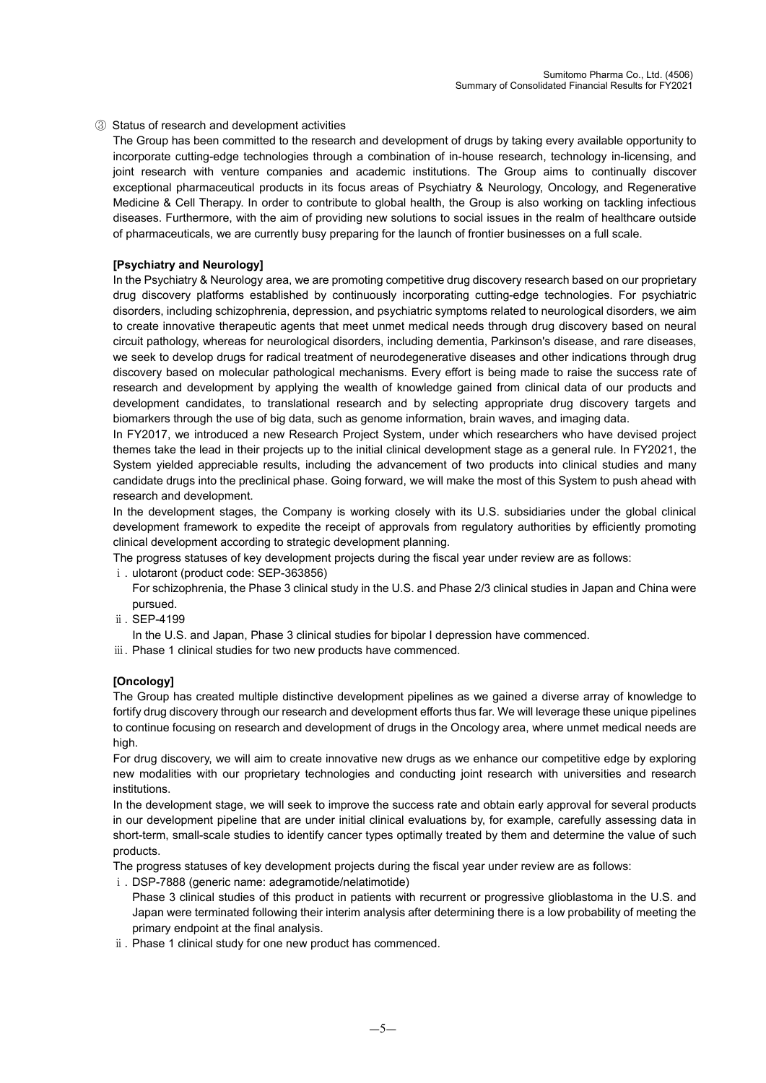#### ③ Status of research and development activities

The Group has been committed to the research and development of drugs by taking every available opportunity to incorporate cutting-edge technologies through a combination of in-house research, technology in-licensing, and joint research with venture companies and academic institutions. The Group aims to continually discover exceptional pharmaceutical products in its focus areas of Psychiatry & Neurology, Oncology, and Regenerative Medicine & Cell Therapy. In order to contribute to global health, the Group is also working on tackling infectious diseases. Furthermore, with the aim of providing new solutions to social issues in the realm of healthcare outside of pharmaceuticals, we are currently busy preparing for the launch of frontier businesses on a full scale.

#### **[Psychiatry and Neurology]**

In the Psychiatry & Neurology area, we are promoting competitive drug discovery research based on our proprietary drug discovery platforms established by continuously incorporating cutting-edge technologies. For psychiatric disorders, including schizophrenia, depression, and psychiatric symptoms related to neurological disorders, we aim to create innovative therapeutic agents that meet unmet medical needs through drug discovery based on neural circuit pathology, whereas for neurological disorders, including dementia, Parkinson's disease, and rare diseases, we seek to develop drugs for radical treatment of neurodegenerative diseases and other indications through drug discovery based on molecular pathological mechanisms. Every effort is being made to raise the success rate of research and development by applying the wealth of knowledge gained from clinical data of our products and development candidates, to translational research and by selecting appropriate drug discovery targets and biomarkers through the use of big data, such as genome information, brain waves, and imaging data.

In FY2017, we introduced a new Research Project System, under which researchers who have devised project themes take the lead in their projects up to the initial clinical development stage as a general rule. In FY2021, the System yielded appreciable results, including the advancement of two products into clinical studies and many candidate drugs into the preclinical phase. Going forward, we will make the most of this System to push ahead with research and development.

In the development stages, the Company is working closely with its U.S. subsidiaries under the global clinical development framework to expedite the receipt of approvals from regulatory authorities by efficiently promoting clinical development according to strategic development planning.

The progress statuses of key development projects during the fiscal year under review are as follows:

- i. ulotaront (product code: SEP-363856)
	- For schizophrenia, the Phase 3 clinical study in the U.S. and Phase 2/3 clinical studies in Japan and China were pursued.
- ⅱ. SEP-4199
- In the U.S. and Japan, Phase 3 clinical studies for bipolar I depression have commenced.
- iii. Phase 1 clinical studies for two new products have commenced.

#### **[Oncology]**

The Group has created multiple distinctive development pipelines as we gained a diverse array of knowledge to fortify drug discovery through our research and development efforts thus far. We will leverage these unique pipelines to continue focusing on research and development of drugs in the Oncology area, where unmet medical needs are high.

For drug discovery, we will aim to create innovative new drugs as we enhance our competitive edge by exploring new modalities with our proprietary technologies and conducting joint research with universities and research institutions.

In the development stage, we will seek to improve the success rate and obtain early approval for several products in our development pipeline that are under initial clinical evaluations by, for example, carefully assessing data in short-term, small-scale studies to identify cancer types optimally treated by them and determine the value of such products.

The progress statuses of key development projects during the fiscal year under review are as follows:

- ⅰ. DSP-7888 (generic name: adegramotide/nelatimotide)
- Phase 3 clinical studies of this product in patients with recurrent or progressive glioblastoma in the U.S. and Japan were terminated following their interim analysis after determining there is a low probability of meeting the primary endpoint at the final analysis.
- ⅱ. Phase 1 clinical study for one new product has commenced.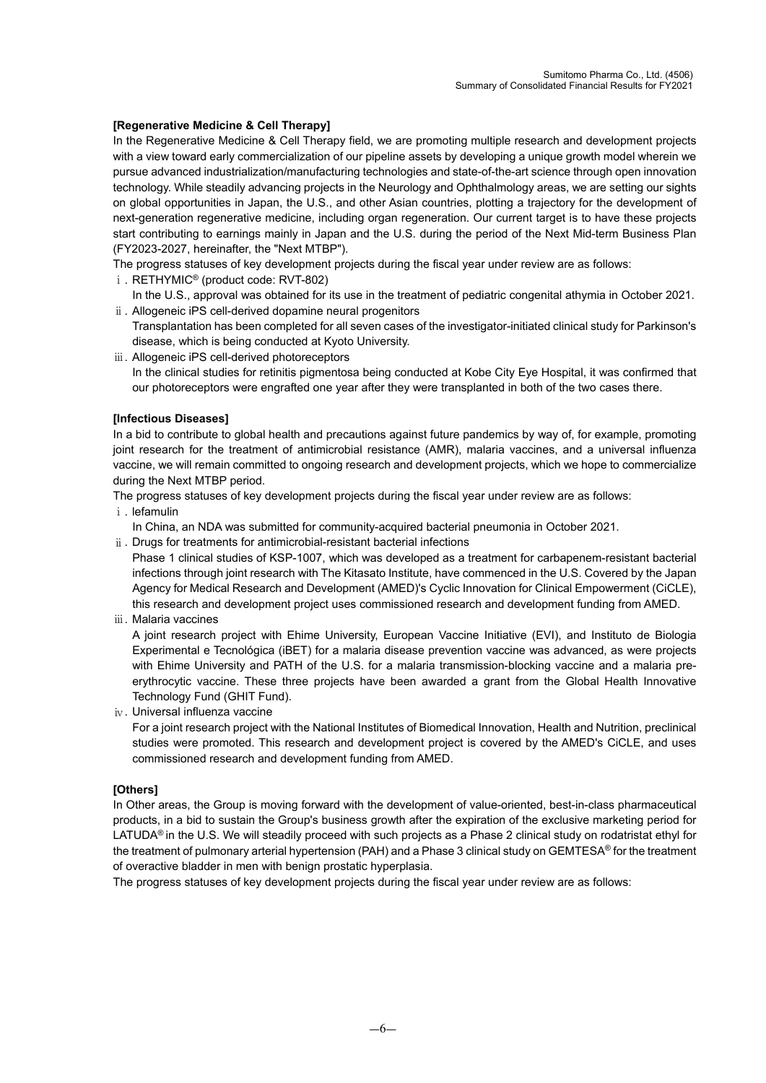## **[Regenerative Medicine & Cell Therapy]**

In the Regenerative Medicine & Cell Therapy field, we are promoting multiple research and development projects with a view toward early commercialization of our pipeline assets by developing a unique growth model wherein we pursue advanced industrialization/manufacturing technologies and state-of-the-art science through open innovation technology. While steadily advancing projects in the Neurology and Ophthalmology areas, we are setting our sights on global opportunities in Japan, the U.S., and other Asian countries, plotting a trajectory for the development of next-generation regenerative medicine, including organ regeneration. Our current target is to have these projects start contributing to earnings mainly in Japan and the U.S. during the period of the Next Mid-term Business Plan (FY2023-2027, hereinafter, the "Next MTBP").

The progress statuses of key development projects during the fiscal year under review are as follows:

- ⅰ. RETHYMIC® (product code: RVT-802)
- In the U.S., approval was obtained for its use in the treatment of pediatric congenital athymia in October 2021. ⅱ. Allogeneic iPS cell-derived dopamine neural progenitors
- Transplantation has been completed for all seven cases of the investigator-initiated clinical study for Parkinson's disease, which is being conducted at Kyoto University.
- ⅲ. Allogeneic iPS cell-derived photoreceptors In the clinical studies for retinitis pigmentosa being conducted at Kobe City Eye Hospital, it was confirmed that our photoreceptors were engrafted one year after they were transplanted in both of the two cases there.

## **[Infectious Diseases]**

In a bid to contribute to global health and precautions against future pandemics by way of, for example, promoting joint research for the treatment of antimicrobial resistance (AMR), malaria vaccines, and a universal influenza vaccine, we will remain committed to ongoing research and development projects, which we hope to commercialize during the Next MTBP period.

The progress statuses of key development projects during the fiscal year under review are as follows:

- ⅰ. lefamulin
	- In China, an NDA was submitted for community-acquired bacterial pneumonia in October 2021.
- ⅱ. Drugs for treatments for antimicrobial-resistant bacterial infections

Phase 1 clinical studies of KSP-1007, which was developed as a treatment for carbapenem-resistant bacterial infections through joint research with The Kitasato Institute, have commenced in the U.S. Covered by the Japan Agency for Medical Research and Development (AMED)'s Cyclic Innovation for Clinical Empowerment (CiCLE), this research and development project uses commissioned research and development funding from AMED.

ⅲ. Malaria vaccines

A joint research project with Ehime University, European Vaccine Initiative (EVI), and Instituto de Biologia Experimental e Tecnológica (iBET) for a malaria disease prevention vaccine was advanced, as were projects with Ehime University and PATH of the U.S. for a malaria transmission-blocking vaccine and a malaria preerythrocytic vaccine. These three projects have been awarded a grant from the Global Health Innovative Technology Fund (GHIT Fund).

ⅳ. Universal influenza vaccine

For a joint research project with the National Institutes of Biomedical Innovation, Health and Nutrition, preclinical studies were promoted. This research and development project is covered by the AMED's CiCLE, and uses commissioned research and development funding from AMED.

#### **[Others]**

In Other areas, the Group is moving forward with the development of value-oriented, best-in-class pharmaceutical products, in a bid to sustain the Group's business growth after the expiration of the exclusive marketing period for LATUDA<sup>®</sup> in the U.S. We will steadily proceed with such projects as a Phase 2 clinical study on rodatristat ethyl for the treatment of pulmonary arterial hypertension (PAH) and a Phase 3 clinical study on GEMTESA® for the treatment of overactive bladder in men with benign prostatic hyperplasia.

The progress statuses of key development projects during the fiscal year under review are as follows: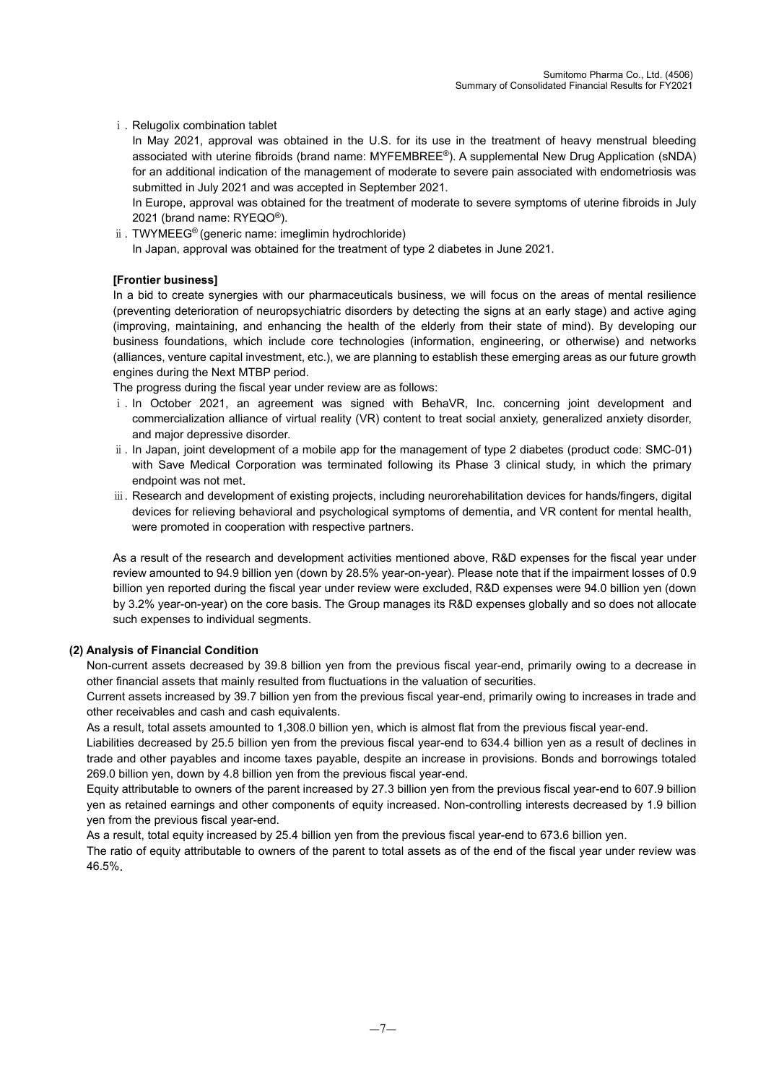i. Relugolix combination tablet

In May 2021, approval was obtained in the U.S. for its use in the treatment of heavy menstrual bleeding associated with uterine fibroids (brand name: MYFEMBREE®). A supplemental New Drug Application (sNDA) for an additional indication of the management of moderate to severe pain associated with endometriosis was submitted in July 2021 and was accepted in September 2021.

In Europe, approval was obtained for the treatment of moderate to severe symptoms of uterine fibroids in July 2021 (brand name: RYEQO®).

ⅱ. TWYMEEG® (generic name: imeglimin hydrochloride) In Japan, approval was obtained for the treatment of type 2 diabetes in June 2021.

## **[Frontier business]**

In a bid to create synergies with our pharmaceuticals business, we will focus on the areas of mental resilience (preventing deterioration of neuropsychiatric disorders by detecting the signs at an early stage) and active aging (improving, maintaining, and enhancing the health of the elderly from their state of mind). By developing our business foundations, which include core technologies (information, engineering, or otherwise) and networks (alliances, venture capital investment, etc.), we are planning to establish these emerging areas as our future growth engines during the Next MTBP period.

The progress during the fiscal year under review are as follows:

- i. In October 2021, an agreement was signed with BehaVR, Inc. concerning joint development and commercialization alliance of virtual reality (VR) content to treat social anxiety, generalized anxiety disorder, and major depressive disorder.
- ⅱ. In Japan, joint development of a mobile app for the management of type 2 diabetes (product code: SMC-01) with Save Medical Corporation was terminated following its Phase 3 clinical study, in which the primary endpoint was not met.
- ⅲ. Research and development of existing projects, including neurorehabilitation devices for hands/fingers, digital devices for relieving behavioral and psychological symptoms of dementia, and VR content for mental health, were promoted in cooperation with respective partners.

As a result of the research and development activities mentioned above, R&D expenses for the fiscal year under review amounted to 94.9 billion yen (down by 28.5% year-on-year). Please note that if the impairment losses of 0.9 billion yen reported during the fiscal year under review were excluded, R&D expenses were 94.0 billion yen (down by 3.2% year-on-year) on the core basis. The Group manages its R&D expenses globally and so does not allocate such expenses to individual segments.

#### **(2) Analysis of Financial Condition**

Non-current assets decreased by 39.8 billion yen from the previous fiscal year-end, primarily owing to a decrease in other financial assets that mainly resulted from fluctuations in the valuation of securities.

Current assets increased by 39.7 billion yen from the previous fiscal year-end, primarily owing to increases in trade and other receivables and cash and cash equivalents.

As a result, total assets amounted to 1,308.0 billion yen, which is almost flat from the previous fiscal year-end.

Liabilities decreased by 25.5 billion yen from the previous fiscal year-end to 634.4 billion yen as a result of declines in trade and other payables and income taxes payable, despite an increase in provisions. Bonds and borrowings totaled 269.0 billion yen, down by 4.8 billion yen from the previous fiscal year-end.

Equity attributable to owners of the parent increased by 27.3 billion yen from the previous fiscal year-end to 607.9 billion yen as retained earnings and other components of equity increased. Non-controlling interests decreased by 1.9 billion yen from the previous fiscal year-end.

As a result, total equity increased by 25.4 billion yen from the previous fiscal year-end to 673.6 billion yen.

The ratio of equity attributable to owners of the parent to total assets as of the end of the fiscal year under review was 46.5%.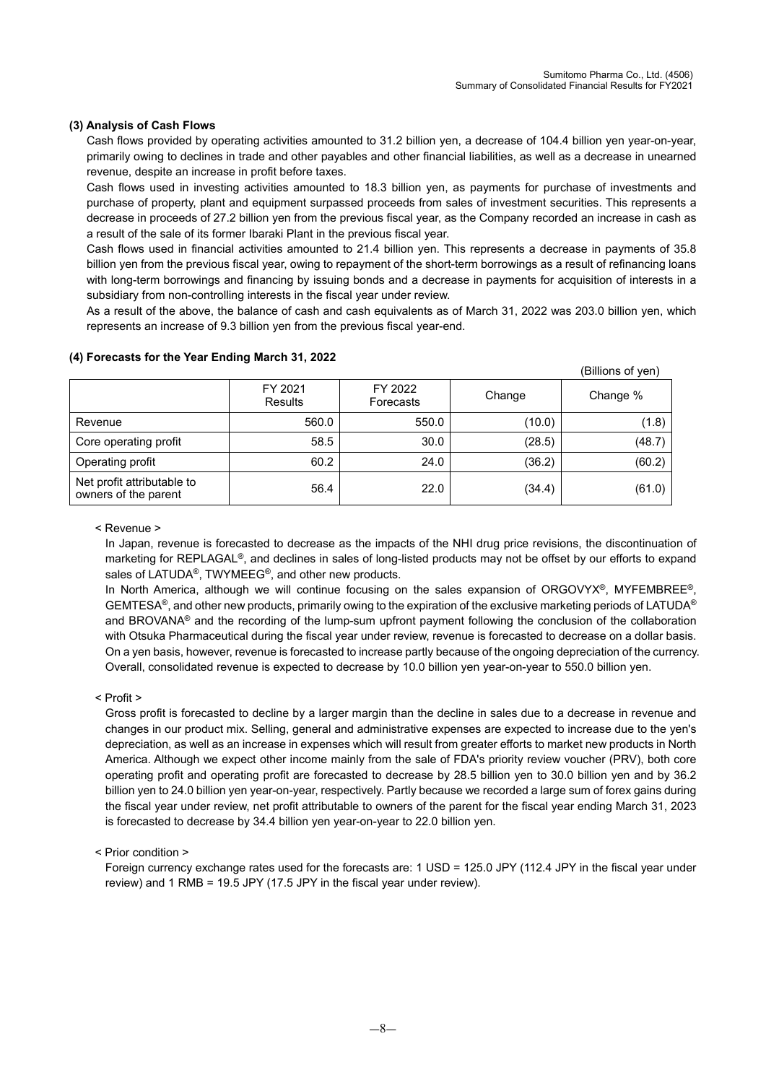## **(3) Analysis of Cash Flows**

Cash flows provided by operating activities amounted to 31.2 billion yen, a decrease of 104.4 billion yen year-on-year, primarily owing to declines in trade and other payables and other financial liabilities, as well as a decrease in unearned revenue, despite an increase in profit before taxes.

Cash flows used in investing activities amounted to 18.3 billion yen, as payments for purchase of investments and purchase of property, plant and equipment surpassed proceeds from sales of investment securities. This represents a decrease in proceeds of 27.2 billion yen from the previous fiscal year, as the Company recorded an increase in cash as a result of the sale of its former Ibaraki Plant in the previous fiscal year.

Cash flows used in financial activities amounted to 21.4 billion yen. This represents a decrease in payments of 35.8 billion yen from the previous fiscal year, owing to repayment of the short-term borrowings as a result of refinancing loans with long-term borrowings and financing by issuing bonds and a decrease in payments for acquisition of interests in a subsidiary from non-controlling interests in the fiscal year under review.

As a result of the above, the balance of cash and cash equivalents as of March 31, 2022 was 203.0 billion yen, which represents an increase of 9.3 billion yen from the previous fiscal year-end.

|                                                    |                    |                      |        | (Billions of yen) |
|----------------------------------------------------|--------------------|----------------------|--------|-------------------|
|                                                    | FY 2021<br>Results | FY 2022<br>Forecasts | Change | Change %          |
| Revenue                                            | 560.0              | 550.0                | (10.0) | (1.8)             |
| Core operating profit                              | 58.5               | 30.0                 | (28.5) | (48.7)            |
| Operating profit                                   | 60.2               | 24.0                 | (36.2) | (60.2)            |
| Net profit attributable to<br>owners of the parent | 56.4               | 22.0                 | (34.4) | (61.0)            |

### **(4) Forecasts for the Year Ending March 31, 2022**

< Revenue >

In Japan, revenue is forecasted to decrease as the impacts of the NHI drug price revisions, the discontinuation of marketing for REPLAGAL®, and declines in sales of long-listed products may not be offset by our efforts to expand sales of LATUDA<sup>®</sup>, TWYMEEG<sup>®</sup>, and other new products.

In North America, although we will continue focusing on the sales expansion of ORGOVYX®, MYFEMBREE®, GEMTESA<sup>®</sup>, and other new products, primarily owing to the expiration of the exclusive marketing periods of LATUDA<sup>®</sup> and BROVANA® and the recording of the lump-sum upfront payment following the conclusion of the collaboration with Otsuka Pharmaceutical during the fiscal year under review, revenue is forecasted to decrease on a dollar basis. On a yen basis, however, revenue is forecasted to increase partly because of the ongoing depreciation of the currency. Overall, consolidated revenue is expected to decrease by 10.0 billion yen year-on-year to 550.0 billion yen.

### < Profit >

Gross profit is forecasted to decline by a larger margin than the decline in sales due to a decrease in revenue and changes in our product mix. Selling, general and administrative expenses are expected to increase due to the yen's depreciation, as well as an increase in expenses which will result from greater efforts to market new products in North America. Although we expect other income mainly from the sale of FDA's priority review voucher (PRV), both core operating profit and operating profit are forecasted to decrease by 28.5 billion yen to 30.0 billion yen and by 36.2 billion yen to 24.0 billion yen year-on-year, respectively. Partly because we recorded a large sum of forex gains during the fiscal year under review, net profit attributable to owners of the parent for the fiscal year ending March 31, 2023 is forecasted to decrease by 34.4 billion yen year-on-year to 22.0 billion yen.

< Prior condition >

Foreign currency exchange rates used for the forecasts are: 1 USD = 125.0 JPY (112.4 JPY in the fiscal year under review) and 1 RMB = 19.5 JPY (17.5 JPY in the fiscal year under review).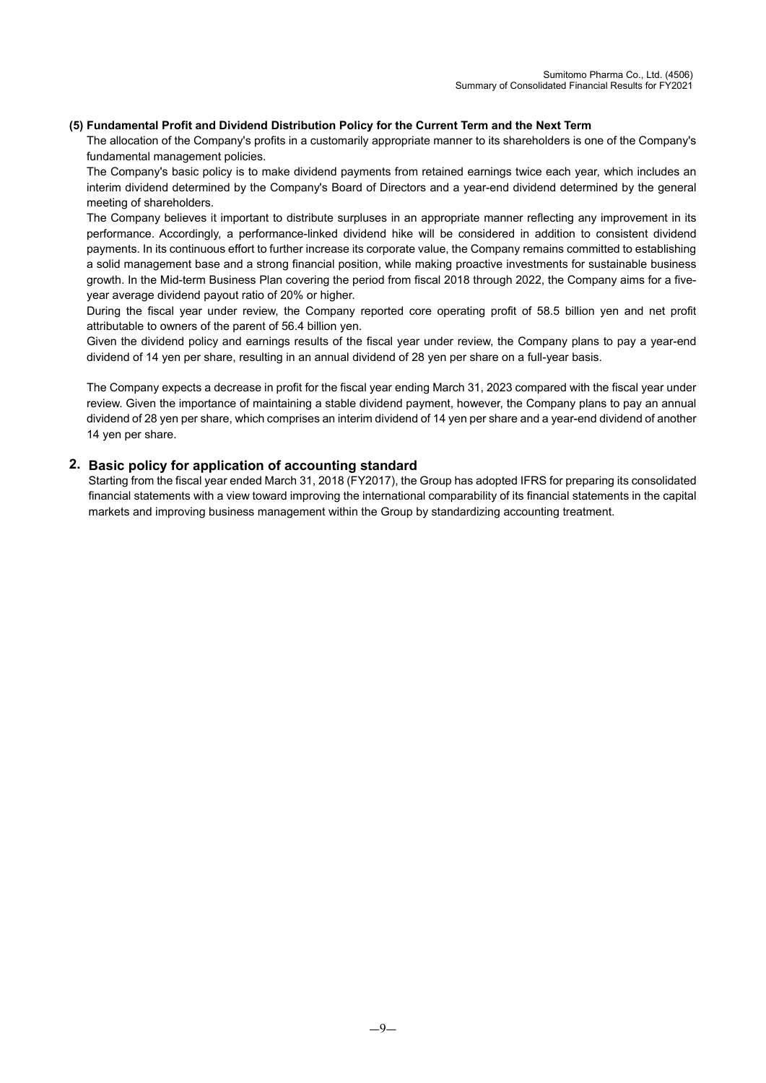#### **(5) Fundamental Profit and Dividend Distribution Policy for the Current Term and the Next Term**

The allocation of the Company's profits in a customarily appropriate manner to its shareholders is one of the Company's fundamental management policies.

The Company's basic policy is to make dividend payments from retained earnings twice each year, which includes an interim dividend determined by the Company's Board of Directors and a year-end dividend determined by the general meeting of shareholders.

The Company believes it important to distribute surpluses in an appropriate manner reflecting any improvement in its performance. Accordingly, a performance-linked dividend hike will be considered in addition to consistent dividend payments. In its continuous effort to further increase its corporate value, the Company remains committed to establishing a solid management base and a strong financial position, while making proactive investments for sustainable business growth. In the Mid-term Business Plan covering the period from fiscal 2018 through 2022, the Company aims for a fiveyear average dividend payout ratio of 20% or higher.

During the fiscal year under review, the Company reported core operating profit of 58.5 billion yen and net profit attributable to owners of the parent of 56.4 billion yen.

Given the dividend policy and earnings results of the fiscal year under review, the Company plans to pay a year-end dividend of 14 yen per share, resulting in an annual dividend of 28 yen per share on a full-year basis.

The Company expects a decrease in profit for the fiscal year ending March 31, 2023 compared with the fiscal year under review. Given the importance of maintaining a stable dividend payment, however, the Company plans to pay an annual dividend of 28 yen per share, which comprises an interim dividend of 14 yen per share and a year-end dividend of another 14 yen per share.

## **2. Basic policy for application of accounting standard**

Starting from the fiscal year ended March 31, 2018 (FY2017), the Group has adopted IFRS for preparing its consolidated financial statements with a view toward improving the international comparability of its financial statements in the capital markets and improving business management within the Group by standardizing accounting treatment.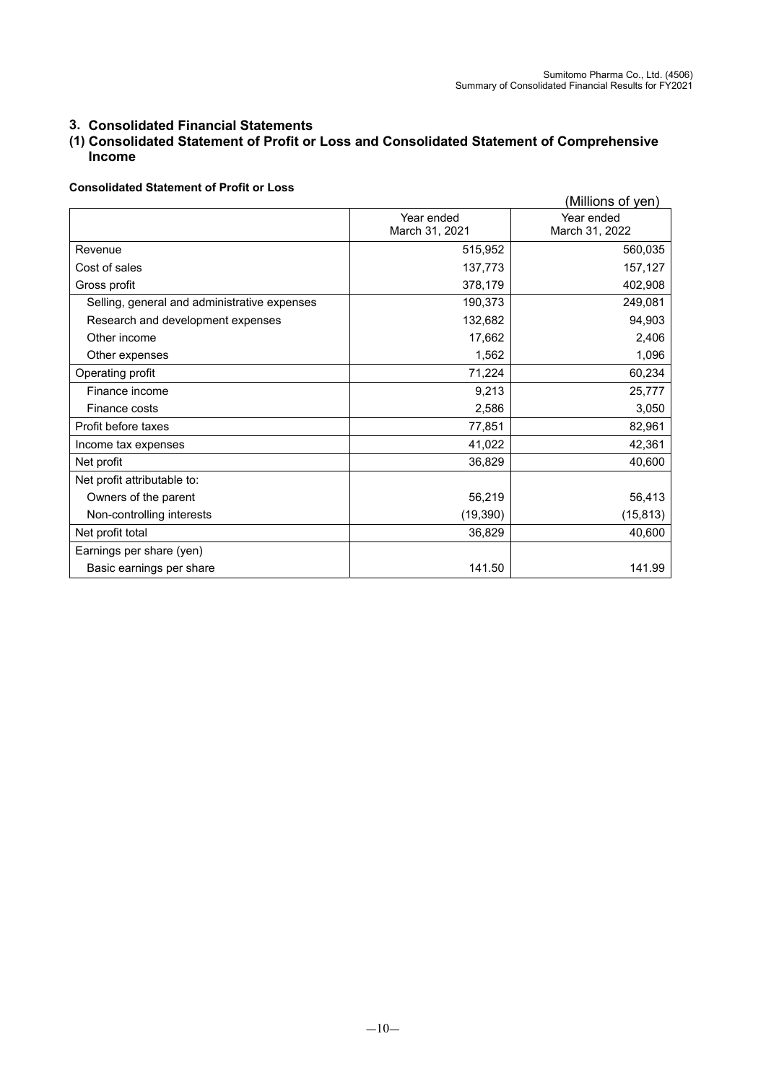## **3. Consolidated Financial Statements**

# **(1) Consolidated Statement of Profit or Loss and Consolidated Statement of Comprehensive Income**

#### **Consolidated Statement of Profit or Loss**

|                                              |                              | (Millions of yen)            |
|----------------------------------------------|------------------------------|------------------------------|
|                                              | Year ended<br>March 31, 2021 | Year ended<br>March 31, 2022 |
| Revenue                                      | 515,952                      | 560,035                      |
| Cost of sales                                | 137,773                      | 157,127                      |
| Gross profit                                 | 378,179                      | 402,908                      |
| Selling, general and administrative expenses | 190,373                      | 249,081                      |
| Research and development expenses            | 132,682                      | 94,903                       |
| Other income                                 | 17,662                       | 2,406                        |
| Other expenses                               | 1,562                        | 1,096                        |
| Operating profit                             | 71,224                       | 60,234                       |
| Finance income                               | 9,213                        | 25,777                       |
| Finance costs                                | 2,586                        | 3,050                        |
| Profit before taxes                          | 77,851                       | 82,961                       |
| Income tax expenses                          | 41,022                       | 42,361                       |
| Net profit                                   | 36,829                       | 40,600                       |
| Net profit attributable to:                  |                              |                              |
| Owners of the parent                         | 56,219                       | 56,413                       |
| Non-controlling interests                    | (19, 390)                    | (15, 813)                    |
| Net profit total                             | 36,829                       | 40,600                       |
| Earnings per share (yen)                     |                              |                              |
| Basic earnings per share                     | 141.50                       | 141.99                       |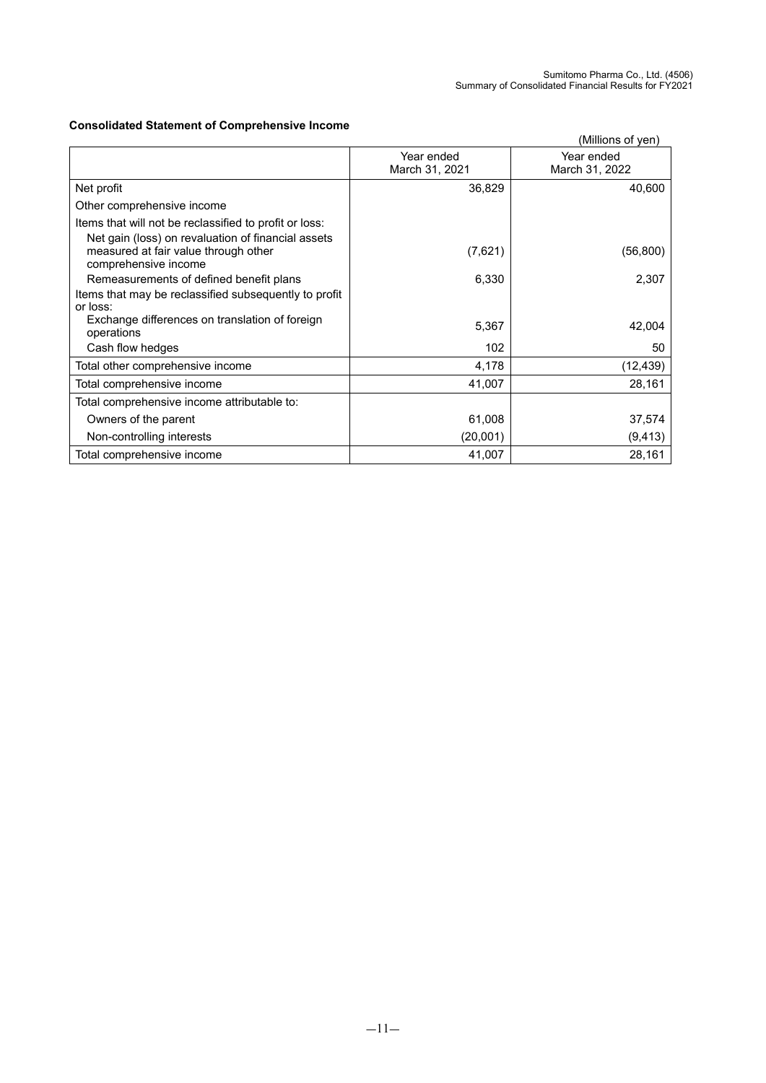## **Consolidated Statement of Comprehensive Income**

| Consolidated Statement of Comprehensive income                                                                                                                               |                              | (Millions of yen)            |
|------------------------------------------------------------------------------------------------------------------------------------------------------------------------------|------------------------------|------------------------------|
|                                                                                                                                                                              | Year ended<br>March 31, 2021 | Year ended<br>March 31, 2022 |
| Net profit                                                                                                                                                                   | 36,829                       | 40,600                       |
| Other comprehensive income                                                                                                                                                   |                              |                              |
| Items that will not be reclassified to profit or loss:<br>Net gain (loss) on revaluation of financial assets<br>measured at fair value through other<br>comprehensive income | (7,621)                      | (56, 800)                    |
| Remeasurements of defined benefit plans<br>Items that may be reclassified subsequently to profit                                                                             | 6,330                        | 2,307                        |
| or loss:<br>Exchange differences on translation of foreign<br>operations                                                                                                     | 5,367                        | 42,004                       |
| Cash flow hedges                                                                                                                                                             | 102                          | 50                           |
| Total other comprehensive income                                                                                                                                             | 4,178                        | (12,439)                     |
| Total comprehensive income                                                                                                                                                   | 41,007                       | 28,161                       |
| Total comprehensive income attributable to:                                                                                                                                  |                              |                              |
| Owners of the parent                                                                                                                                                         | 61,008                       | 37,574                       |
| Non-controlling interests                                                                                                                                                    | (20,001)                     | (9, 413)                     |
| Total comprehensive income                                                                                                                                                   | 41,007                       | 28,161                       |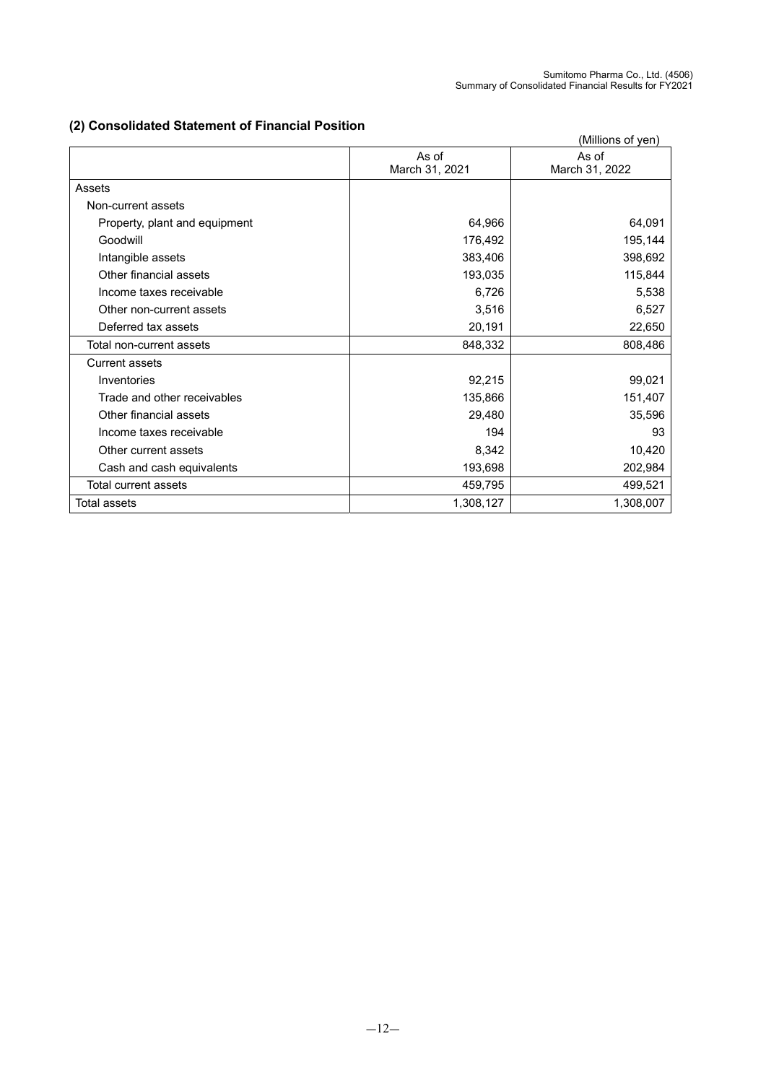# **(2) Consolidated Statement of Financial Position**

|                               |                | (Millions of yen) |
|-------------------------------|----------------|-------------------|
|                               | As of          | As of             |
|                               | March 31, 2021 | March 31, 2022    |
| Assets                        |                |                   |
| Non-current assets            |                |                   |
| Property, plant and equipment | 64,966         | 64,091            |
| Goodwill                      | 176,492        | 195,144           |
| Intangible assets             | 383,406        | 398,692           |
| Other financial assets        | 193,035        | 115,844           |
| Income taxes receivable       | 6,726          | 5,538             |
| Other non-current assets      | 3,516          | 6,527             |
| Deferred tax assets           | 20,191         | 22,650            |
| Total non-current assets      | 848,332        | 808,486           |
| <b>Current assets</b>         |                |                   |
| Inventories                   | 92,215         | 99,021            |
| Trade and other receivables   | 135,866        | 151,407           |
| Other financial assets        | 29,480         | 35,596            |
| Income taxes receivable       | 194            | 93                |
| Other current assets          | 8,342          | 10,420            |
| Cash and cash equivalents     | 193,698        | 202,984           |
| Total current assets          | 459,795        | 499,521           |
| <b>Total assets</b>           | 1,308,127      | 1,308,007         |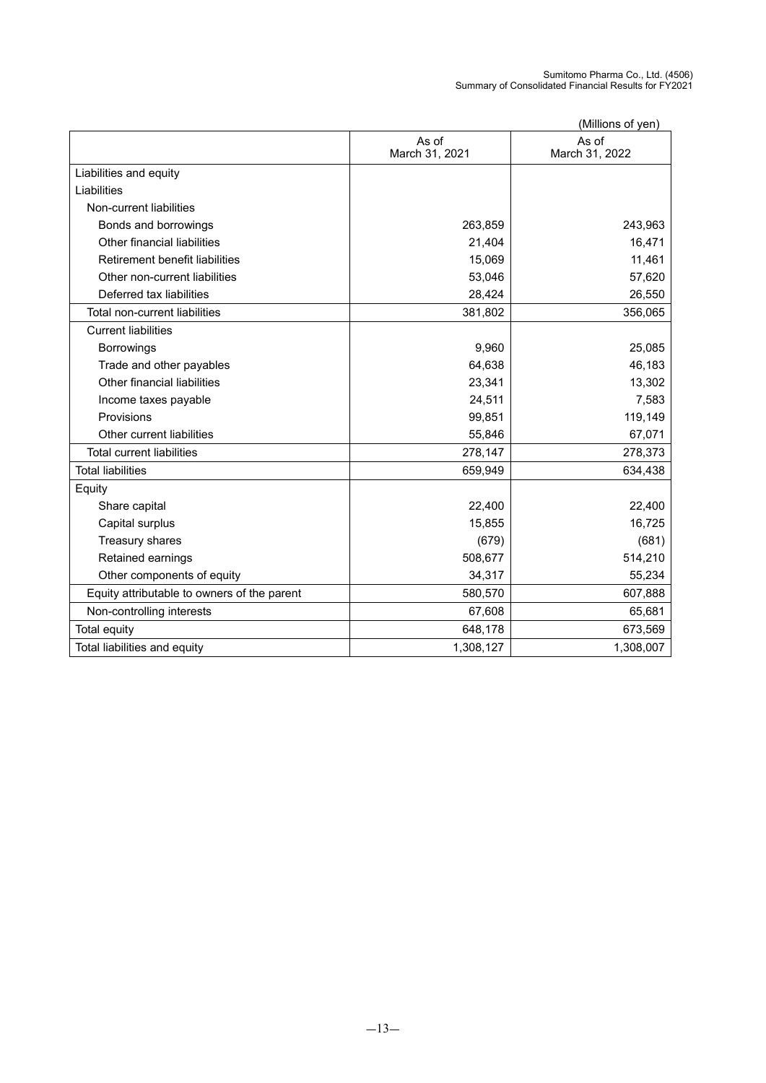Sumitomo Pharma Co., Ltd. (4506) Summary of Consolidated Financial Results for FY2021

| (Millions of ven) |  |
|-------------------|--|

|                                             |                         | (Millions of yen)       |
|---------------------------------------------|-------------------------|-------------------------|
|                                             | As of<br>March 31, 2021 | As of<br>March 31, 2022 |
| Liabilities and equity                      |                         |                         |
| Liabilities                                 |                         |                         |
| Non-current liabilities                     |                         |                         |
| Bonds and borrowings                        | 263,859                 | 243,963                 |
| Other financial liabilities                 | 21,404                  | 16,471                  |
| Retirement benefit liabilities              | 15,069                  | 11,461                  |
| Other non-current liabilities               | 53,046                  | 57,620                  |
| Deferred tax liabilities                    | 28,424                  | 26,550                  |
| Total non-current liabilities               | 381,802                 | 356,065                 |
| <b>Current liabilities</b>                  |                         |                         |
| <b>Borrowings</b>                           | 9,960                   | 25,085                  |
| Trade and other payables                    | 64,638                  | 46,183                  |
| Other financial liabilities                 | 23,341                  | 13,302                  |
| Income taxes payable                        | 24,511                  | 7,583                   |
| Provisions                                  | 99,851                  | 119,149                 |
| Other current liabilities                   | 55,846                  | 67,071                  |
| <b>Total current liabilities</b>            | 278,147                 | 278,373                 |
| <b>Total liabilities</b>                    | 659,949                 | 634,438                 |
| Equity                                      |                         |                         |
| Share capital                               | 22,400                  | 22,400                  |
| Capital surplus                             | 15,855                  | 16,725                  |
| Treasury shares                             | (679)                   | (681)                   |
| Retained earnings                           | 508,677                 | 514,210                 |
| Other components of equity                  | 34,317                  | 55,234                  |
| Equity attributable to owners of the parent | 580,570                 | 607,888                 |
| Non-controlling interests                   | 67,608                  | 65,681                  |
| Total equity                                | 648,178                 | 673,569                 |
| Total liabilities and equity                | 1,308,127               | 1,308,007               |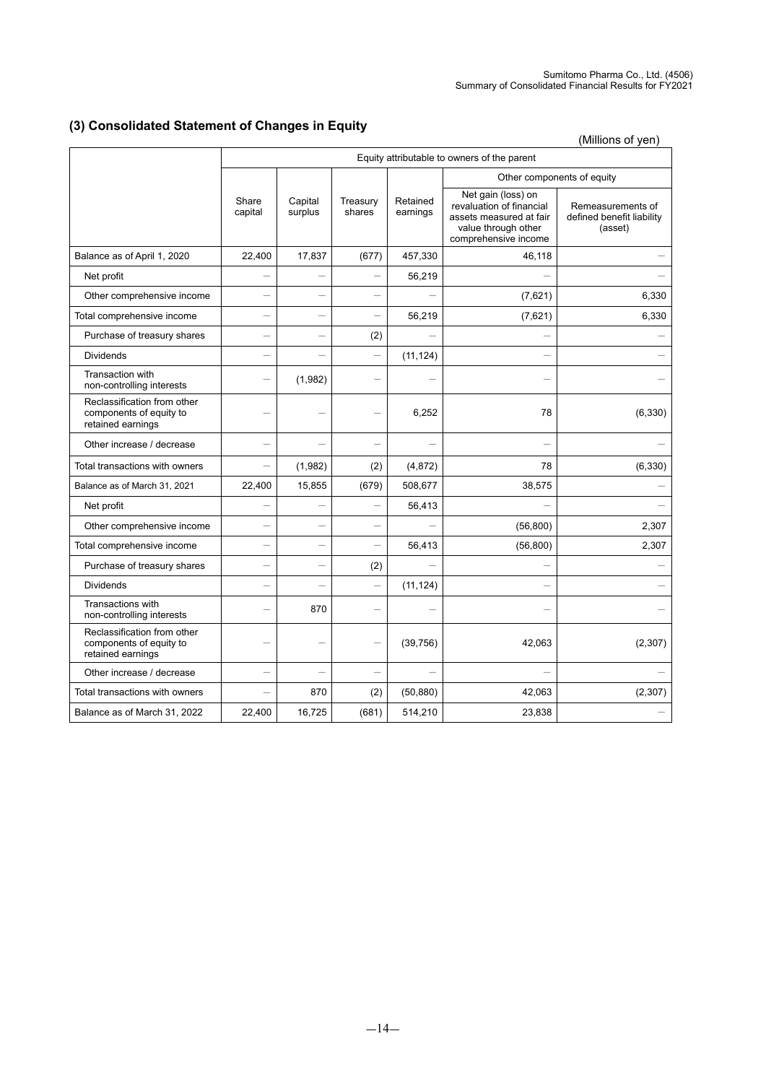# **(3) Consolidated Statement of Changes in Equity**

(Millions of yen)

|                                                                             | Equity attributable to owners of the parent |                          |                          |                          |                                                                                                                          |                                                           |
|-----------------------------------------------------------------------------|---------------------------------------------|--------------------------|--------------------------|--------------------------|--------------------------------------------------------------------------------------------------------------------------|-----------------------------------------------------------|
|                                                                             |                                             |                          |                          |                          | Other components of equity                                                                                               |                                                           |
|                                                                             | Share<br>capital                            | Capital<br>surplus       | Treasury<br>shares       | Retained<br>earnings     | Net gain (loss) on<br>revaluation of financial<br>assets measured at fair<br>value through other<br>comprehensive income | Remeasurements of<br>defined benefit liability<br>(asset) |
| Balance as of April 1, 2020                                                 | 22,400                                      | 17,837                   | (677)                    | 457,330                  | 46,118                                                                                                                   |                                                           |
| Net profit                                                                  |                                             | $\overline{\phantom{0}}$ | $\overline{\phantom{0}}$ | 56,219                   |                                                                                                                          |                                                           |
| Other comprehensive income                                                  | L.                                          |                          | $\overline{\phantom{0}}$ |                          | (7,621)                                                                                                                  | 6,330                                                     |
| Total comprehensive income                                                  | -                                           |                          | $\overline{\phantom{0}}$ | 56,219                   | (7,621)                                                                                                                  | 6,330                                                     |
| Purchase of treasury shares                                                 |                                             |                          | (2)                      |                          |                                                                                                                          |                                                           |
| <b>Dividends</b>                                                            | -                                           |                          | $\overline{\phantom{0}}$ | (11, 124)                |                                                                                                                          |                                                           |
| Transaction with<br>non-controlling interests                               |                                             | (1,982)                  |                          |                          |                                                                                                                          |                                                           |
| Reclassification from other<br>components of equity to<br>retained earnings |                                             |                          |                          | 6,252                    | 78                                                                                                                       | (6, 330)                                                  |
| Other increase / decrease                                                   |                                             |                          |                          |                          |                                                                                                                          |                                                           |
| Total transactions with owners                                              | $\overline{\phantom{0}}$                    | (1,982)                  | (2)                      | (4,872)                  | 78                                                                                                                       | (6, 330)                                                  |
| Balance as of March 31, 2021                                                | 22,400                                      | 15,855                   | (679)                    | 508,677                  | 38,575                                                                                                                   |                                                           |
| Net profit                                                                  | -                                           |                          |                          | 56,413                   |                                                                                                                          |                                                           |
| Other comprehensive income                                                  | $\overline{\phantom{0}}$                    | -                        | $\equiv$                 | $\overline{\phantom{0}}$ | (56, 800)                                                                                                                | 2,307                                                     |
| Total comprehensive income                                                  | -                                           |                          |                          | 56,413                   | (56, 800)                                                                                                                | 2,307                                                     |
| Purchase of treasury shares                                                 | -                                           |                          | (2)                      |                          |                                                                                                                          |                                                           |
| <b>Dividends</b>                                                            |                                             |                          | $\overline{\phantom{0}}$ | (11, 124)                |                                                                                                                          |                                                           |
| Transactions with<br>non-controlling interests                              |                                             | 870                      | $\overline{\phantom{0}}$ |                          |                                                                                                                          |                                                           |
| Reclassification from other<br>components of equity to<br>retained earnings |                                             |                          | $\overline{\phantom{0}}$ | (39, 756)                | 42,063                                                                                                                   | (2,307)                                                   |
| Other increase / decrease                                                   | $\overline{\phantom{0}}$                    | $\overline{\phantom{0}}$ | $\overline{\phantom{0}}$ |                          |                                                                                                                          |                                                           |
| Total transactions with owners                                              | $\overline{\phantom{0}}$                    | 870                      | (2)                      | (50, 880)                | 42,063                                                                                                                   | (2, 307)                                                  |
| Balance as of March 31, 2022                                                | 22,400                                      | 16,725                   | (681)                    | 514,210                  | 23,838                                                                                                                   |                                                           |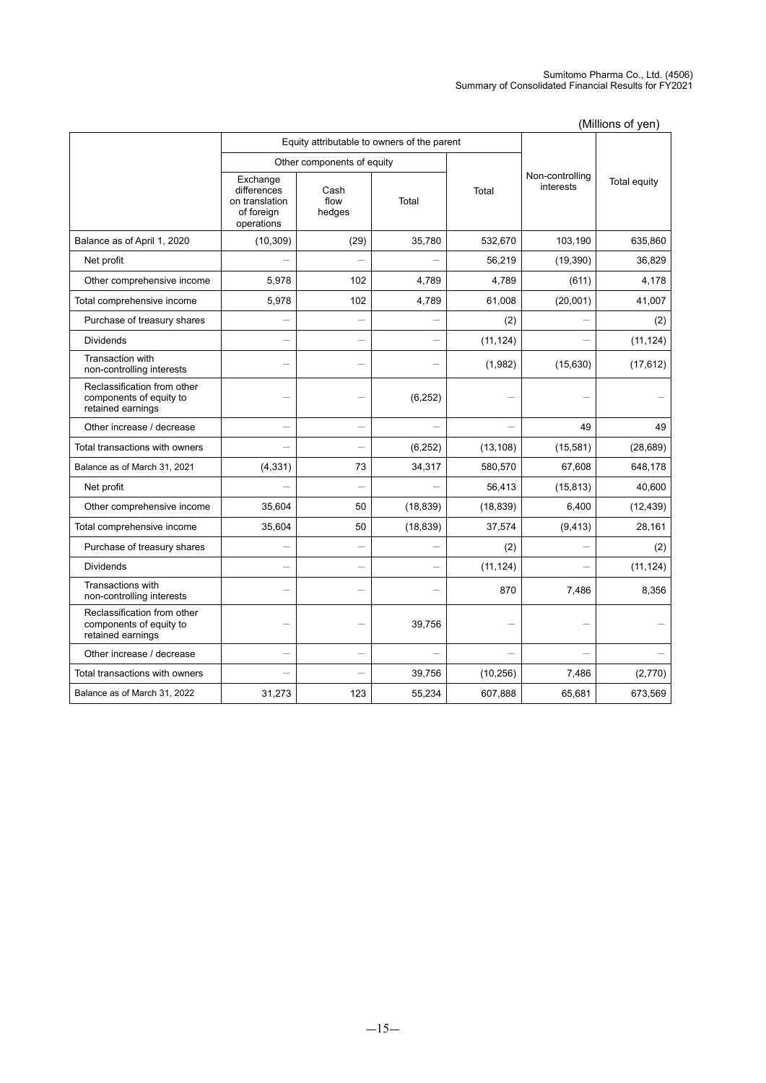#### Sumitomo Pharma Co., Ltd. (4506) Summary of Consolidated Financial Results for FY2021

|                                                                             |                                                                       |                                             |           |           |                              | , <sub>.</sub> <sub>.</sub> |
|-----------------------------------------------------------------------------|-----------------------------------------------------------------------|---------------------------------------------|-----------|-----------|------------------------------|-----------------------------|
|                                                                             |                                                                       | Equity attributable to owners of the parent |           |           |                              |                             |
|                                                                             |                                                                       | Other components of equity                  |           |           |                              |                             |
|                                                                             | Exchange<br>differences<br>on translation<br>of foreign<br>operations | Cash<br>flow<br>hedges                      | Total     | Total     | Non-controlling<br>interests | Total equity                |
| Balance as of April 1, 2020                                                 | (10, 309)                                                             | (29)                                        | 35,780    | 532,670   | 103,190                      | 635,860                     |
| Net profit                                                                  |                                                                       |                                             |           | 56,219    | (19, 390)                    | 36,829                      |
| Other comprehensive income                                                  | 5,978                                                                 | 102                                         | 4,789     | 4,789     | (611)                        | 4,178                       |
| Total comprehensive income                                                  | 5,978                                                                 | 102                                         | 4,789     | 61,008    | (20,001)                     | 41,007                      |
| Purchase of treasury shares                                                 |                                                                       |                                             |           | (2)       |                              | (2)                         |
| <b>Dividends</b>                                                            |                                                                       | -                                           |           | (11, 124) |                              | (11, 124)                   |
| Transaction with<br>non-controlling interests                               |                                                                       |                                             |           | (1,982)   | (15, 630)                    | (17, 612)                   |
| Reclassification from other<br>components of equity to<br>retained earnings |                                                                       |                                             | (6, 252)  |           |                              |                             |
| Other increase / decrease                                                   | $\overline{\phantom{0}}$                                              | $\overline{\phantom{0}}$                    |           |           | 49                           | 49                          |
| Total transactions with owners                                              |                                                                       |                                             | (6, 252)  | (13, 108) | (15, 581)                    | (28, 689)                   |
| Balance as of March 31, 2021                                                | (4, 331)                                                              | 73                                          | 34,317    | 580,570   | 67,608                       | 648,178                     |
| Net profit                                                                  |                                                                       | $\overline{\phantom{0}}$                    |           | 56,413    | (15, 813)                    | 40,600                      |
| Other comprehensive income                                                  | 35,604                                                                | 50                                          | (18, 839) | (18, 839) | 6,400                        | (12, 439)                   |
| Total comprehensive income                                                  | 35,604                                                                | 50                                          | (18, 839) | 37,574    | (9, 413)                     | 28,161                      |
| Purchase of treasury shares                                                 | $\overline{\phantom{0}}$                                              | $\overline{\phantom{0}}$                    |           | (2)       |                              | (2)                         |
| <b>Dividends</b>                                                            |                                                                       |                                             |           | (11, 124) |                              | (11, 124)                   |
| <b>Transactions with</b><br>non-controlling interests                       | -                                                                     | $\overline{\phantom{0}}$                    |           | 870       | 7,486                        | 8,356                       |
| Reclassification from other<br>components of equity to<br>retained earnings |                                                                       |                                             | 39,756    |           |                              |                             |
| Other increase / decrease                                                   | $\overline{\phantom{0}}$                                              |                                             |           |           |                              |                             |
| Total transactions with owners                                              |                                                                       |                                             | 39,756    | (10, 256) | 7,486                        | (2,770)                     |
| Balance as of March 31, 2022                                                | 31,273                                                                | 123                                         | 55,234    | 607,888   | 65,681                       | 673,569                     |

(Millions of yen)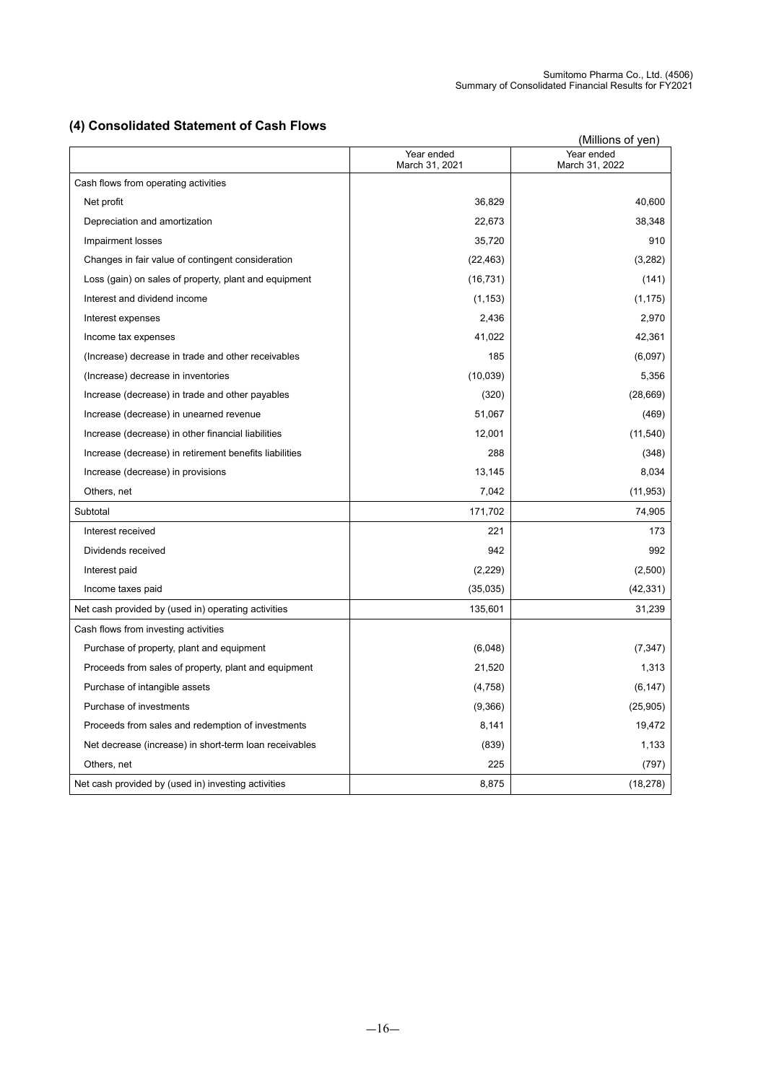# **(4) Consolidated Statement of Cash Flows**

| (4) Consolidated Statement of Cash Flows               |                              |                              |  |  |
|--------------------------------------------------------|------------------------------|------------------------------|--|--|
|                                                        | Year ended<br>March 31, 2021 | Year ended<br>March 31, 2022 |  |  |
| Cash flows from operating activities                   |                              |                              |  |  |
| Net profit                                             | 36,829                       | 40,600                       |  |  |
| Depreciation and amortization                          | 22,673                       | 38,348                       |  |  |
| Impairment losses                                      | 35,720                       | 910                          |  |  |
| Changes in fair value of contingent consideration      | (22, 463)                    | (3,282)                      |  |  |
| Loss (gain) on sales of property, plant and equipment  | (16, 731)                    | (141)                        |  |  |
| Interest and dividend income                           | (1, 153)                     | (1, 175)                     |  |  |
| Interest expenses                                      | 2,436                        | 2,970                        |  |  |
| Income tax expenses                                    | 41,022                       | 42,361                       |  |  |
| (Increase) decrease in trade and other receivables     | 185                          | (6,097)                      |  |  |
| (Increase) decrease in inventories                     | (10, 039)                    | 5,356                        |  |  |
| Increase (decrease) in trade and other payables        | (320)                        | (28, 669)                    |  |  |
| Increase (decrease) in unearned revenue                | 51,067                       | (469)                        |  |  |
| Increase (decrease) in other financial liabilities     | 12,001                       | (11, 540)                    |  |  |
| Increase (decrease) in retirement benefits liabilities | 288                          | (348)                        |  |  |
| Increase (decrease) in provisions                      | 13,145                       | 8,034                        |  |  |
| Others, net                                            | 7,042                        | (11, 953)                    |  |  |
| Subtotal                                               | 171,702                      | 74,905                       |  |  |
| Interest received                                      | 221                          | 173                          |  |  |
| Dividends received                                     | 942                          | 992                          |  |  |
| Interest paid                                          | (2,229)                      | (2,500)                      |  |  |
| Income taxes paid                                      | (35,035)                     | (42, 331)                    |  |  |
| Net cash provided by (used in) operating activities    | 135,601                      | 31,239                       |  |  |
| Cash flows from investing activities                   |                              |                              |  |  |
| Purchase of property, plant and equipment              | (6,048)                      | (7, 347)                     |  |  |
| Proceeds from sales of property, plant and equipment   | 21,520                       | 1,313                        |  |  |
| Purchase of intangible assets                          | (4,758)                      | (6, 147)                     |  |  |
| Purchase of investments                                | (9,366)                      | (25,905)                     |  |  |
| Proceeds from sales and redemption of investments      | 8,141                        | 19,472                       |  |  |
| Net decrease (increase) in short-term loan receivables | (839)                        | 1,133                        |  |  |
| Others, net                                            | 225                          | (797)                        |  |  |
| Net cash provided by (used in) investing activities    | 8,875                        | (18, 278)                    |  |  |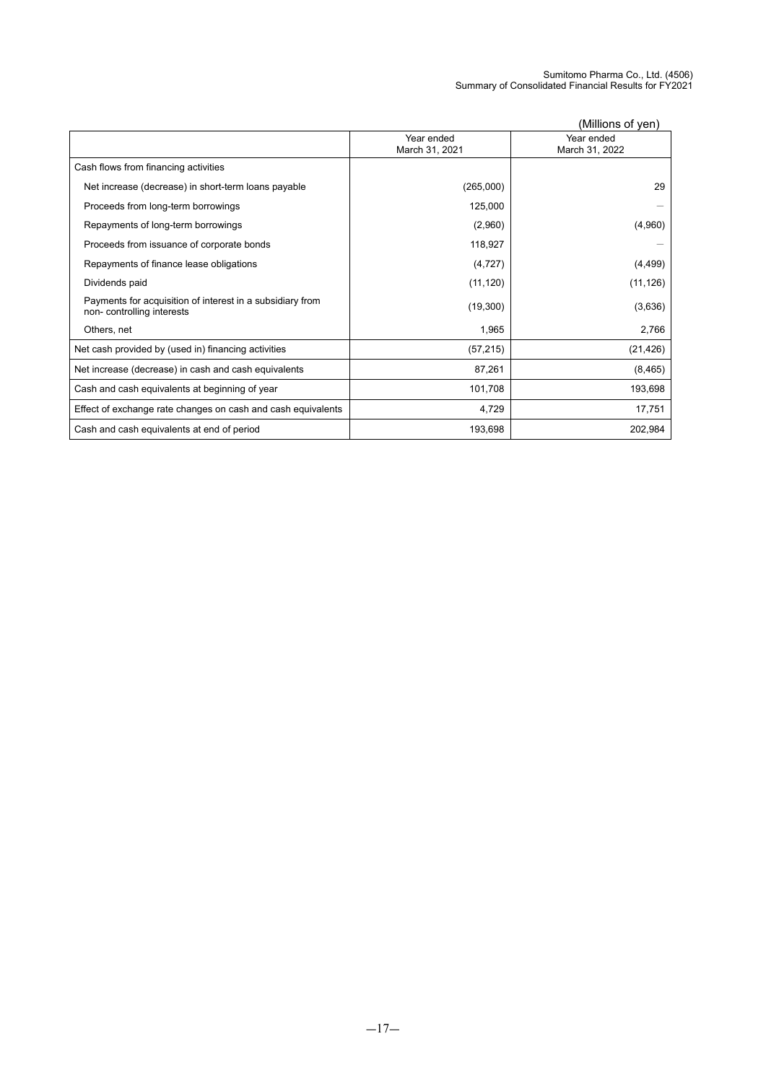|                                                                                        |                              | (Millions of yen)            |
|----------------------------------------------------------------------------------------|------------------------------|------------------------------|
|                                                                                        | Year ended<br>March 31, 2021 | Year ended<br>March 31, 2022 |
| Cash flows from financing activities                                                   |                              |                              |
| Net increase (decrease) in short-term loans payable                                    | (265,000)                    | 29                           |
| Proceeds from long-term borrowings                                                     | 125,000                      |                              |
| Repayments of long-term borrowings                                                     | (2,960)                      | (4,960)                      |
| Proceeds from issuance of corporate bonds                                              | 118,927                      |                              |
| Repayments of finance lease obligations                                                | (4, 727)                     | (4, 499)                     |
| Dividends paid                                                                         | (11, 120)                    | (11, 126)                    |
| Payments for acquisition of interest in a subsidiary from<br>non-controlling interests | (19,300)                     | (3,636)                      |
| Others, net                                                                            | 1,965                        | 2,766                        |
| Net cash provided by (used in) financing activities                                    | (57, 215)                    | (21, 426)                    |
| Net increase (decrease) in cash and cash equivalents                                   | 87,261                       | (8, 465)                     |
| Cash and cash equivalents at beginning of year                                         | 101,708                      | 193,698                      |
| Effect of exchange rate changes on cash and cash equivalents                           | 4,729                        | 17,751                       |
| Cash and cash equivalents at end of period                                             | 193,698                      | 202,984                      |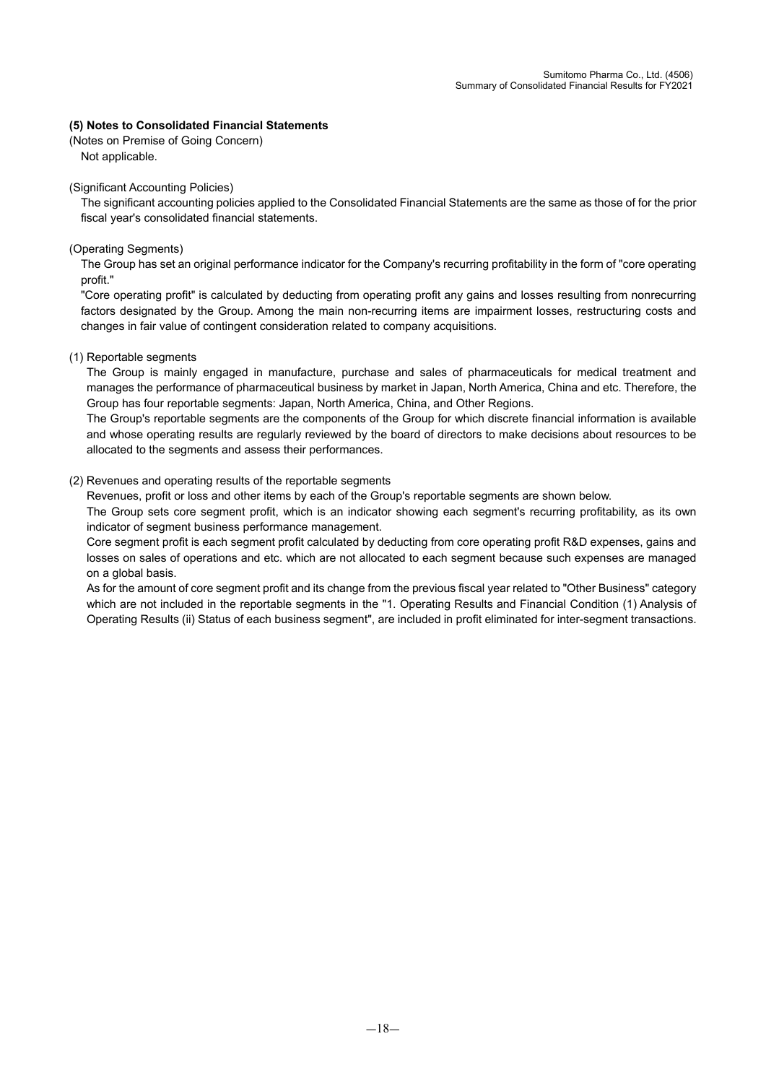## **(5) Notes to Consolidated Financial Statements**

(Notes on Premise of Going Concern) Not applicable.

(Significant Accounting Policies)

The significant accounting policies applied to the Consolidated Financial Statements are the same as those of for the prior fiscal year's consolidated financial statements.

### (Operating Segments)

The Group has set an original performance indicator for the Company's recurring profitability in the form of "core operating profit."

"Core operating profit" is calculated by deducting from operating profit any gains and losses resulting from nonrecurring factors designated by the Group. Among the main non-recurring items are impairment losses, restructuring costs and changes in fair value of contingent consideration related to company acquisitions.

(1) Reportable segments

The Group is mainly engaged in manufacture, purchase and sales of pharmaceuticals for medical treatment and manages the performance of pharmaceutical business by market in Japan, North America, China and etc. Therefore, the Group has four reportable segments: Japan, North America, China, and Other Regions.

The Group's reportable segments are the components of the Group for which discrete financial information is available and whose operating results are regularly reviewed by the board of directors to make decisions about resources to be allocated to the segments and assess their performances.

## (2) Revenues and operating results of the reportable segments

Revenues, profit or loss and other items by each of the Group's reportable segments are shown below.

The Group sets core segment profit, which is an indicator showing each segment's recurring profitability, as its own indicator of segment business performance management.

Core segment profit is each segment profit calculated by deducting from core operating profit R&D expenses, gains and losses on sales of operations and etc. which are not allocated to each segment because such expenses are managed on a global basis.

As for the amount of core segment profit and its change from the previous fiscal year related to "Other Business" category which are not included in the reportable segments in the "1. Operating Results and Financial Condition (1) Analysis of Operating Results (ii) Status of each business segment", are included in profit eliminated for inter-segment transactions.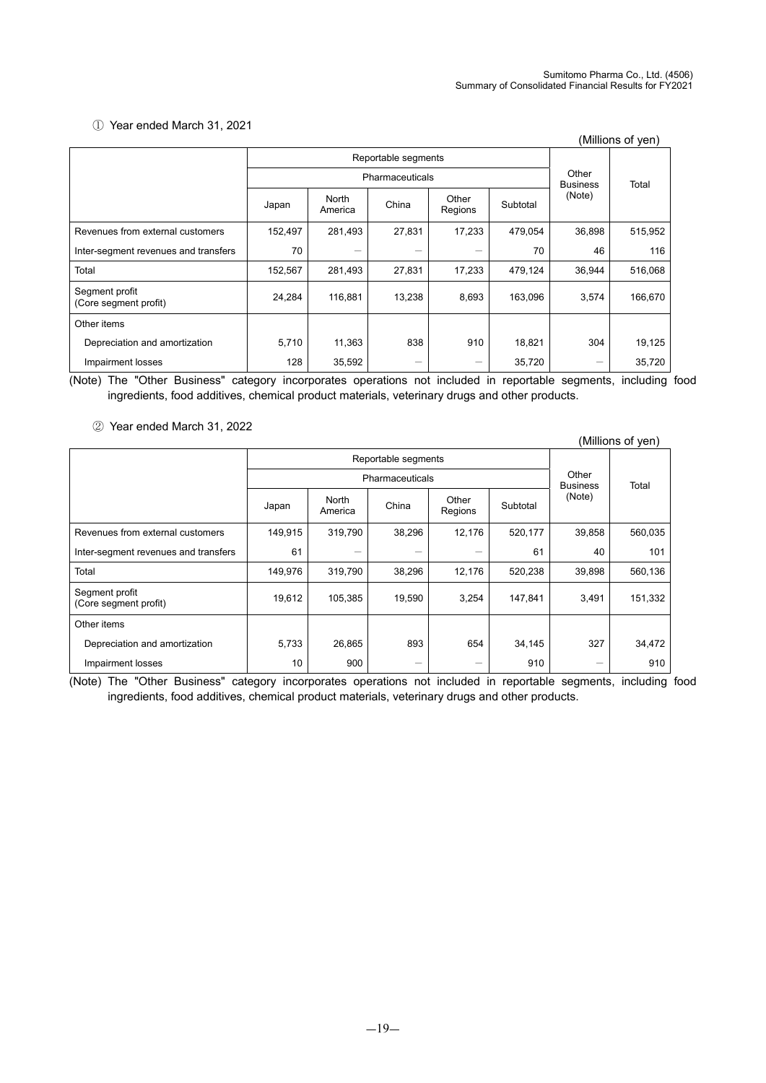## ① Year ended March 31, 2021

| (Millions of yen)                       |                 |                  |                     |                  |          |                          |         |  |
|-----------------------------------------|-----------------|------------------|---------------------|------------------|----------|--------------------------|---------|--|
|                                         |                 |                  | Reportable segments |                  |          |                          |         |  |
|                                         | Pharmaceuticals |                  |                     |                  |          | Other<br><b>Business</b> | Total   |  |
|                                         | Japan           | North<br>America | China               | Other<br>Regions | Subtotal | (Note)                   |         |  |
| Revenues from external customers        | 152,497         | 281,493          | 27,831              | 17,233           | 479,054  | 36,898                   | 515,952 |  |
| Inter-segment revenues and transfers    | 70              |                  |                     |                  | 70       | 46                       | 116     |  |
| Total                                   | 152,567         | 281,493          | 27,831              | 17,233           | 479,124  | 36,944                   | 516,068 |  |
| Segment profit<br>(Core segment profit) | 24,284          | 116,881          | 13,238              | 8,693            | 163,096  | 3,574                    | 166,670 |  |
| Other items                             |                 |                  |                     |                  |          |                          |         |  |
| Depreciation and amortization           | 5,710           | 11,363           | 838                 | 910              | 18,821   | 304                      | 19,125  |  |
| Impairment losses                       | 128             | 35,592           |                     | -                | 35,720   |                          | 35,720  |  |

(Note) The "Other Business" category incorporates operations not included in reportable segments, including food ingredients, food additives, chemical product materials, veterinary drugs and other products.

② Year ended March 31, 2022

|                                         |         |                  |                     |                  |          |                          | (Millions of yen) |
|-----------------------------------------|---------|------------------|---------------------|------------------|----------|--------------------------|-------------------|
|                                         |         |                  | Reportable segments |                  |          |                          |                   |
|                                         |         |                  | Pharmaceuticals     |                  |          | Other<br><b>Business</b> | Total             |
|                                         | Japan   | North<br>America | China               | Other<br>Regions | Subtotal | (Note)                   |                   |
| Revenues from external customers        | 149,915 | 319,790          | 38,296              | 12,176           | 520,177  | 39,858                   | 560,035           |
| Inter-segment revenues and transfers    | 61      |                  |                     |                  | 61       | 40                       | 101               |
| Total                                   | 149,976 | 319,790          | 38,296              | 12,176           | 520,238  | 39,898                   | 560,136           |
| Segment profit<br>(Core segment profit) | 19,612  | 105,385          | 19,590              | 3,254            | 147,841  | 3,491                    | 151,332           |
| Other items                             |         |                  |                     |                  |          |                          |                   |
| Depreciation and amortization           | 5,733   | 26,865           | 893                 | 654              | 34,145   | 327                      | 34,472            |
| Impairment losses                       | 10      | 900              |                     | -                | 910      |                          | 910               |

(Note) The "Other Business" category incorporates operations not included in reportable segments, including food ingredients, food additives, chemical product materials, veterinary drugs and other products.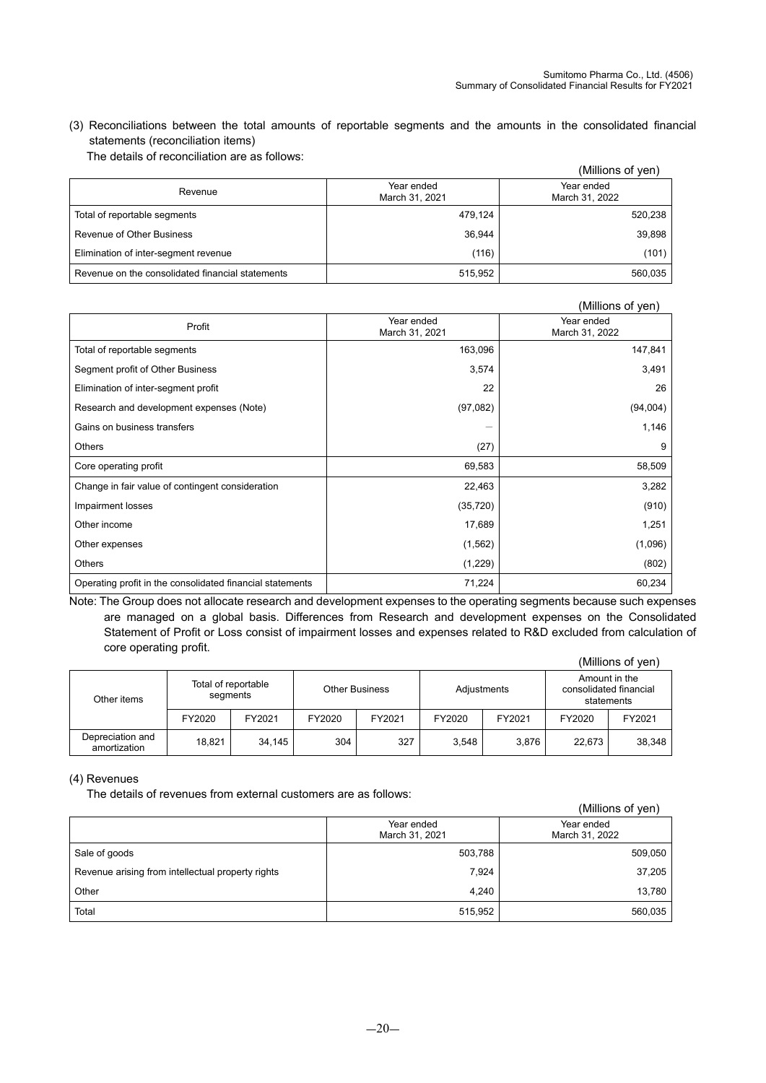(3) Reconciliations between the total amounts of reportable segments and the amounts in the consolidated financial statements (reconciliation items)

| The details of reconciliation are as follows: |  |
|-----------------------------------------------|--|
|-----------------------------------------------|--|

|                                                  |                              | (Millions of yen)            |
|--------------------------------------------------|------------------------------|------------------------------|
| Revenue                                          | Year ended<br>March 31, 2021 | Year ended<br>March 31, 2022 |
| Total of reportable segments                     | 479,124                      | 520,238                      |
| Revenue of Other Business                        | 36.944                       | 39,898                       |
| Elimination of inter-segment revenue             | (116)                        | (101)                        |
| Revenue on the consolidated financial statements | 515,952                      | 560,035                      |

# (Millions of yen)

|                                                           |                              | (IVIIIIIONS OF YEN)          |
|-----------------------------------------------------------|------------------------------|------------------------------|
| Profit                                                    | Year ended<br>March 31, 2021 | Year ended<br>March 31, 2022 |
| Total of reportable segments                              | 163,096                      | 147,841                      |
| Segment profit of Other Business                          | 3,574                        | 3,491                        |
| Elimination of inter-segment profit                       | 22                           | 26                           |
| Research and development expenses (Note)                  | (97,082)                     | (94,004)                     |
| Gains on business transfers                               |                              | 1,146                        |
| <b>Others</b>                                             | (27)                         | 9                            |
| Core operating profit                                     | 69,583                       | 58,509                       |
| Change in fair value of contingent consideration          | 22,463                       | 3,282                        |
| Impairment losses                                         | (35, 720)                    | (910)                        |
| Other income                                              | 17,689                       | 1,251                        |
| Other expenses                                            | (1, 562)                     | (1,096)                      |
| <b>Others</b>                                             | (1,229)                      | (802)                        |
| Operating profit in the consolidated financial statements | 71,224                       | 60,234                       |

Note: The Group does not allocate research and development expenses to the operating segments because such expenses are managed on a global basis. Differences from Research and development expenses on the Consolidated Statement of Profit or Loss consist of impairment losses and expenses related to R&D excluded from calculation of core operating profit.

|                                  |        |                                 |                       |        |             |        |                                                       | (Millions of yen) |
|----------------------------------|--------|---------------------------------|-----------------------|--------|-------------|--------|-------------------------------------------------------|-------------------|
| Other items                      |        | Total of reportable<br>segments | <b>Other Business</b> |        | Adjustments |        | Amount in the<br>consolidated financial<br>statements |                   |
|                                  | FY2020 | FY2021                          | FY2020                | FY2021 | FY2020      | FY2021 | FY2020                                                | FY2021            |
| Depreciation and<br>amortization | 18,821 | 34.145                          | 304                   | 327    | 3,548       | 3.876  | 22.673                                                | 38,348            |

#### (4) Revenues

The details of revenues from external customers are as follows:

|                                                   |                              | (Millions of yen)            |
|---------------------------------------------------|------------------------------|------------------------------|
|                                                   | Year ended<br>March 31, 2021 | Year ended<br>March 31, 2022 |
| Sale of goods                                     | 503,788                      | 509,050                      |
| Revenue arising from intellectual property rights | 7,924                        | 37,205                       |
| Other                                             | 4,240                        | 13,780                       |
| Total                                             | 515,952                      | 560,035                      |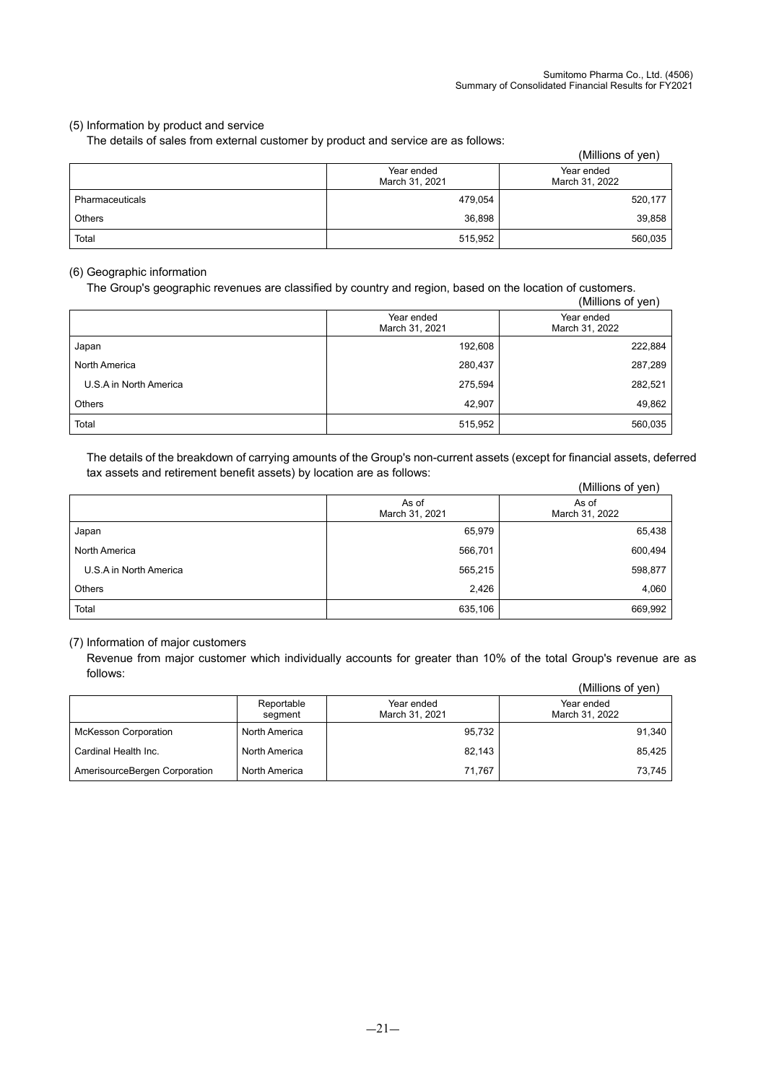## (5) Information by product and service

The details of sales from external customer by product and service are as follows:

|                 |                              | (Millions of yen)            |
|-----------------|------------------------------|------------------------------|
|                 | Year ended<br>March 31, 2021 | Year ended<br>March 31, 2022 |
| Pharmaceuticals | 479,054                      | 520,177                      |
| <b>Others</b>   | 36,898                       | 39,858                       |
| Total           | 515,952                      | 560,035                      |

## (6) Geographic information

The Group's geographic revenues are classified by country and region, based on the location of customers.

|                        |                              | (Millions of yen)            |
|------------------------|------------------------------|------------------------------|
|                        | Year ended<br>March 31, 2021 | Year ended<br>March 31, 2022 |
| Japan                  | 192,608                      | 222,884                      |
| North America          | 280,437                      | 287,289                      |
| U.S.A in North America | 275,594                      | 282,521                      |
| <b>Others</b>          | 42,907                       | 49,862                       |
| Total                  | 515,952                      | 560,035                      |

The details of the breakdown of carrying amounts of the Group's non-current assets (except for financial assets, deferred tax assets and retirement benefit assets) by location are as follows:

|                        |                         | (Millions of yen)       |
|------------------------|-------------------------|-------------------------|
|                        | As of<br>March 31, 2021 | As of<br>March 31, 2022 |
| Japan                  | 65,979                  | 65,438                  |
| North America          | 566,701                 | 600,494                 |
| U.S.A in North America | 565,215                 | 598,877                 |
| <b>Others</b>          | 2,426                   | 4,060                   |
| Total                  | 635,106                 | 669,992                 |

#### (7) Information of major customers

Revenue from major customer which individually accounts for greater than 10% of the total Group's revenue are as follows:  $(0.4)$ llions of y

|                               |                       |                              | (Millions of ven)            |
|-------------------------------|-----------------------|------------------------------|------------------------------|
|                               | Reportable<br>segment | Year ended<br>March 31, 2021 | Year ended<br>March 31, 2022 |
| <b>McKesson Corporation</b>   | North America         | 95,732                       | 91,340                       |
| Cardinal Health Inc.          | North America         | 82,143                       | 85.425                       |
| AmerisourceBergen Corporation | North America         | 71,767                       | 73,745                       |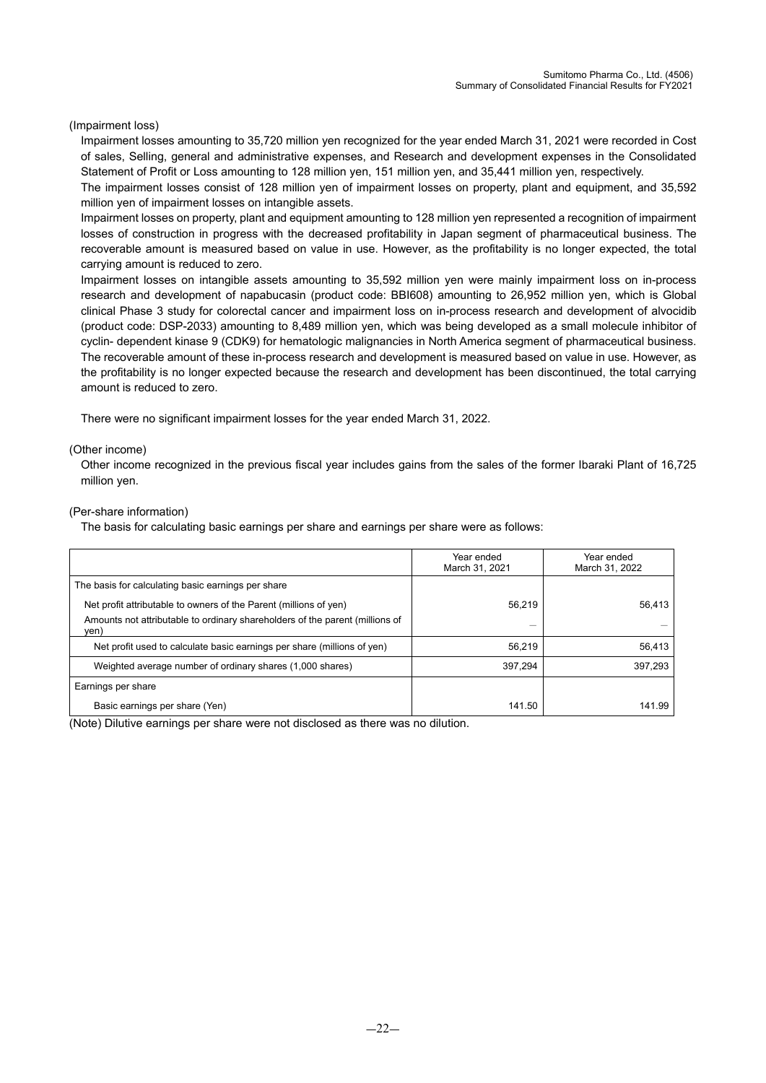### (Impairment loss)

Impairment losses amounting to 35,720 million yen recognized for the year ended March 31, 2021 were recorded in Cost of sales, Selling, general and administrative expenses, and Research and development expenses in the Consolidated Statement of Profit or Loss amounting to 128 million yen, 151 million yen, and 35,441 million yen, respectively.

The impairment losses consist of 128 million yen of impairment losses on property, plant and equipment, and 35,592 million yen of impairment losses on intangible assets.

Impairment losses on property, plant and equipment amounting to 128 million yen represented a recognition of impairment losses of construction in progress with the decreased profitability in Japan segment of pharmaceutical business. The recoverable amount is measured based on value in use. However, as the profitability is no longer expected, the total carrying amount is reduced to zero.

Impairment losses on intangible assets amounting to 35,592 million yen were mainly impairment loss on in-process research and development of napabucasin (product code: BBI608) amounting to 26,952 million yen, which is Global clinical Phase 3 study for colorectal cancer and impairment loss on in-process research and development of alvocidib (product code: DSP-2033) amounting to 8,489 million yen, which was being developed as a small molecule inhibitor of cyclin- dependent kinase 9 (CDK9) for hematologic malignancies in North America segment of pharmaceutical business. The recoverable amount of these in-process research and development is measured based on value in use. However, as the profitability is no longer expected because the research and development has been discontinued, the total carrying amount is reduced to zero.

There were no significant impairment losses for the year ended March 31, 2022.

#### (Other income)

Other income recognized in the previous fiscal year includes gains from the sales of the former Ibaraki Plant of 16,725 million yen.

#### (Per-share information)

The basis for calculating basic earnings per share and earnings per share were as follows:

|                                                                                      | Year ended<br>March 31, 2021 | Year ended<br>March 31, 2022 |
|--------------------------------------------------------------------------------------|------------------------------|------------------------------|
| The basis for calculating basic earnings per share                                   |                              |                              |
| Net profit attributable to owners of the Parent (millions of yen)                    | 56,219                       | 56.413                       |
| Amounts not attributable to ordinary shareholders of the parent (millions of<br>ven) |                              |                              |
| Net profit used to calculate basic earnings per share (millions of yen)              | 56.219                       | 56,413                       |
| Weighted average number of ordinary shares (1,000 shares)                            | 397,294                      | 397,293                      |
| Earnings per share                                                                   |                              |                              |
| Basic earnings per share (Yen)                                                       | 141.50                       | 141.99                       |

(Note) Dilutive earnings per share were not disclosed as there was no dilution.